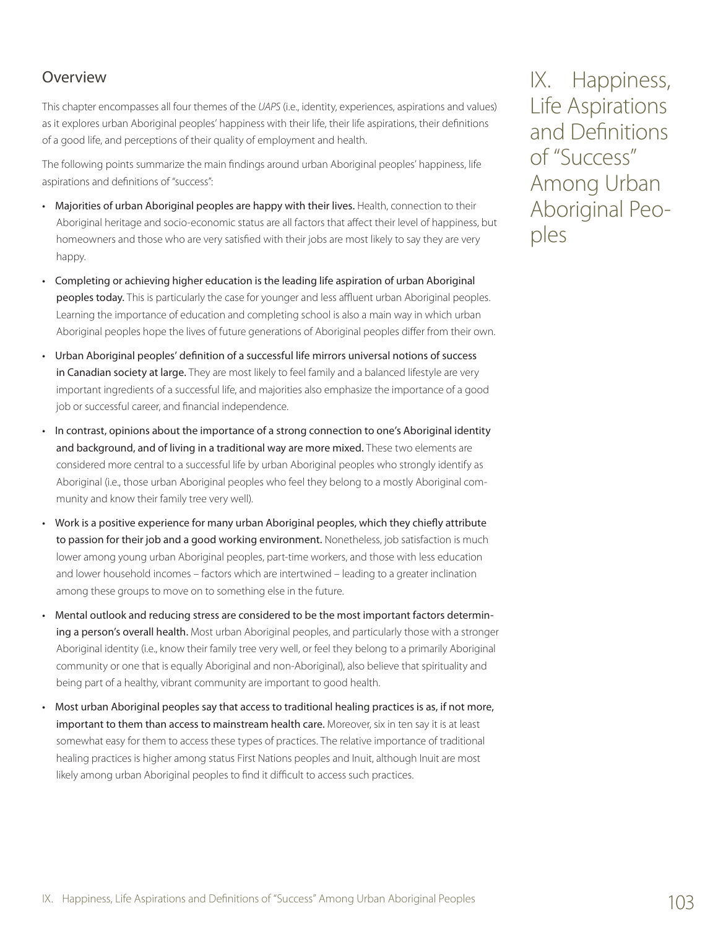# Overview

This chapter encompasses all four themes of the *UAPS* (i.e., identity, experiences, aspirations and values) as it explores urban Aboriginal peoples' happiness with their life, their life aspirations, their definitions of a good life, and perceptions of their quality of employment and health.

The following points summarize the main findings around urban Aboriginal peoples' happiness, life aspirations and definitions of "success":

- Majorities of urban Aboriginal peoples are happy with their lives. Health, connection to their Aboriginal heritage and socio-economic status are all factors that affect their level of happiness, but homeowners and those who are very satisfied with their jobs are most likely to say they are very happy.
- Completing or achieving higher education is the leading life aspiration of urban Aboriginal peoples today. This is particularly the case for younger and less affluent urban Aboriginal peoples. Learning the importance of education and completing school is also a main way in which urban Aboriginal peoples hope the lives of future generations of Aboriginal peoples differ from their own.
- Urban Aboriginal peoples' definition of a successful life mirrors universal notions of success in Canadian society at large. They are most likely to feel family and a balanced lifestyle are very important ingredients of a successful life, and majorities also emphasize the importance of a good job or successful career, and financial independence.
- In contrast, opinions about the importance of a strong connection to one's Aboriginal identity and background, and of living in a traditional way are more mixed. These two elements are considered more central to a successful life by urban Aboriginal peoples who strongly identify as Aboriginal (i.e., those urban Aboriginal peoples who feel they belong to a mostly Aboriginal community and know their family tree very well).
- Work is a positive experience for many urban Aboriginal peoples, which they chiefly attribute to passion for their job and a good working environment. Nonetheless, job satisfaction is much lower among young urban Aboriginal peoples, part-time workers, and those with less education and lower household incomes – factors which are intertwined – leading to a greater inclination among these groups to move on to something else in the future.
- Mental outlook and reducing stress are considered to be the most important factors determining a person's overall health. Most urban Aboriginal peoples, and particularly those with a stronger Aboriginal identity (i.e., know their family tree very well, or feel they belong to a primarily Aboriginal community or one that is equally Aboriginal and non-Aboriginal), also believe that spirituality and being part of a healthy, vibrant community are important to good health.
- Most urban Aboriginal peoples say that access to traditional healing practices is as, if not more, important to them than access to mainstream health care. Moreover, six in ten say it is at least somewhat easy for them to access these types of practices. The relative importance of traditional healing practices is higher among status First Nations peoples and Inuit, although Inuit are most likely among urban Aboriginal peoples to find it difficult to access such practices.

IX. Happiness, Life Aspirations and Definitions of "Success" Among Urban Aboriginal Peoples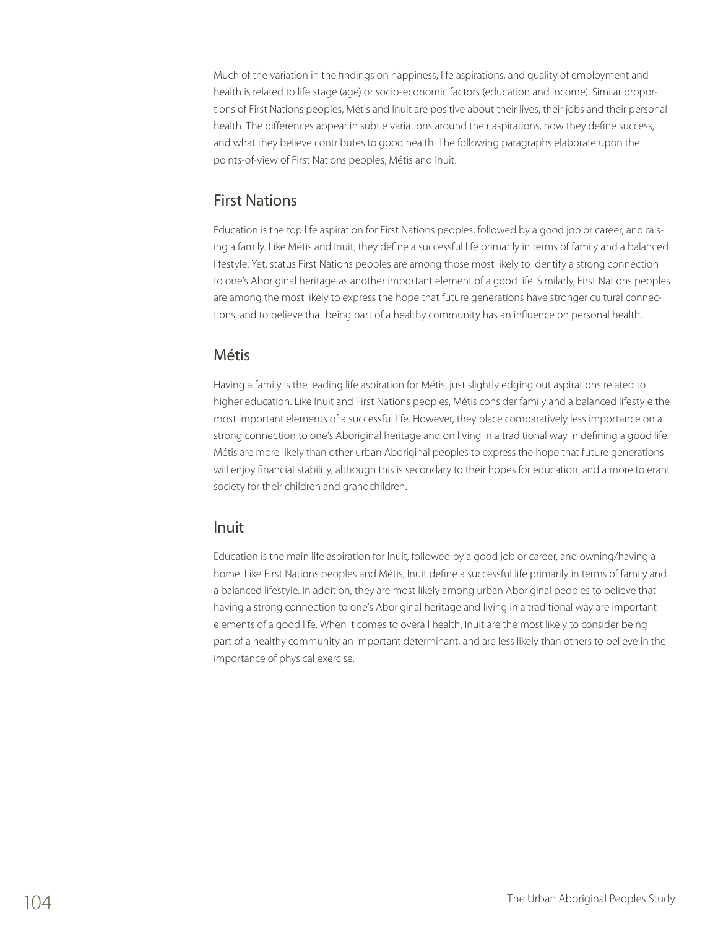Much of the variation in the findings on happiness, life aspirations, and quality of employment and health is related to life stage (age) or socio-economic factors (education and income). Similar proportions of First Nations peoples, Métis and Inuit are positive about their lives, their jobs and their personal health. The differences appear in subtle variations around their aspirations, how they define success, and what they believe contributes to good health. The following paragraphs elaborate upon the points-of-view of First Nations peoples, Métis and Inuit.

# First Nations

Education is the top life aspiration for First Nations peoples, followed by a good job or career, and raising a family. Like Métis and Inuit, they define a successful life primarily in terms of family and a balanced lifestyle. Yet, status First Nations peoples are among those most likely to identify a strong connection to one's Aboriginal heritage as another important element of a good life. Similarly, First Nations peoples are among the most likely to express the hope that future generations have stronger cultural connections, and to believe that being part of a healthy community has an influence on personal health.

## Métis

Having a family is the leading life aspiration for Métis, just slightly edging out aspirations related to higher education. Like Inuit and First Nations peoples, Métis consider family and a balanced lifestyle the most important elements of a successful life. However, they place comparatively less importance on a strong connection to one's Aboriginal heritage and on living in a traditional way in defining a good life. Métis are more likely than other urban Aboriginal peoples to express the hope that future generations will enjoy financial stability, although this is secondary to their hopes for education, and a more tolerant society for their children and grandchildren.

## Inuit

Education is the main life aspiration for Inuit, followed by a good job or career, and owning/having a home. Like First Nations peoples and Métis, Inuit define a successful life primarily in terms of family and a balanced lifestyle. In addition, they are most likely among urban Aboriginal peoples to believe that having a strong connection to one's Aboriginal heritage and living in a traditional way are important elements of a good life. When it comes to overall health, Inuit are the most likely to consider being part of a healthy community an important determinant, and are less likely than others to believe in the importance of physical exercise.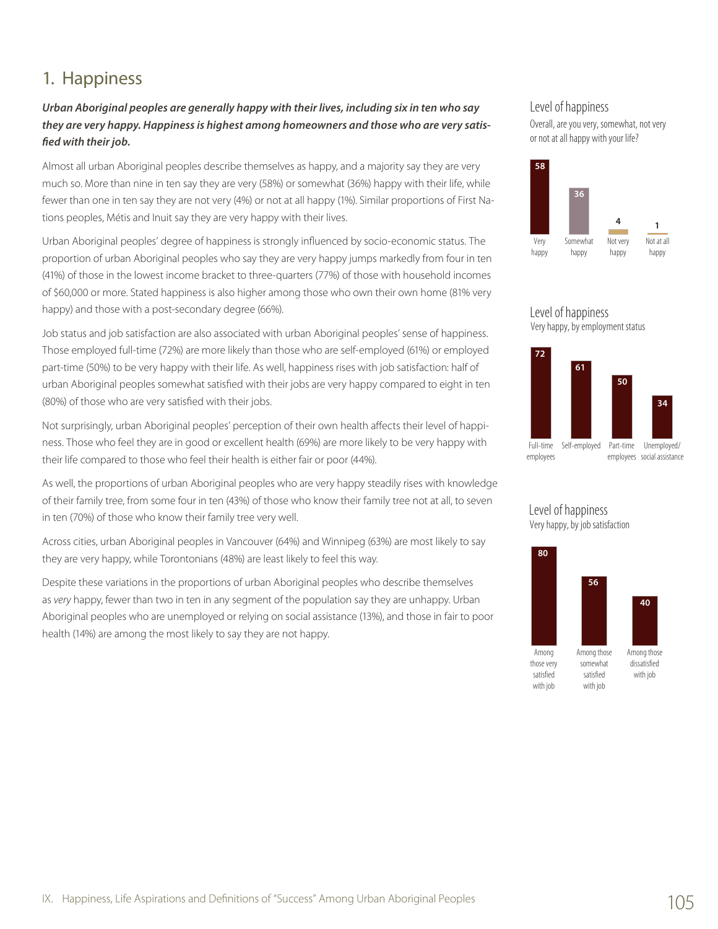# 1. Happiness

## *Urban Aboriginal peoples are generally happy with their lives, including six in ten who say they are very happy. Happiness is highest among homeowners and those who are very satisfied with their job.*

Almost all urban Aboriginal peoples describe themselves as happy, and a majority say they are very much so. More than nine in ten say they are very (58%) or somewhat (36%) happy with their life, while fewer than one in ten say they are not very (4%) or not at all happy (1%). Similar proportions of First Nations peoples, Métis and Inuit say they are very happy with their lives.

Urban Aboriginal peoples' degree of happiness is strongly influenced by socio-economic status. The proportion of urban Aboriginal peoples who say they are very happy jumps markedly from four in ten (41%) of those in the lowest income bracket to three-quarters (77%) of those with household incomes of \$60,000 or more. Stated happiness is also higher among those who own their own home (81% very happy) and those with a post-secondary degree (66%).

Job status and job satisfaction are also associated with urban Aboriginal peoples' sense of happiness. Those employed full-time (72%) are more likely than those who are self-employed (61%) or employed part-time (50%) to be very happy with their life. As well, happiness rises with job satisfaction: half of urban Aboriginal peoples somewhat satisfied with their jobs are very happy compared to eight in ten (80%) of those who are very satisfied with their jobs.

Not surprisingly, urban Aboriginal peoples' perception of their own health affects their level of happiness. Those who feel they are in good or excellent health (69%) are more likely to be very happy with their life compared to those who feel their health is either fair or poor (44%).

As well, the proportions of urban Aboriginal peoples who are very happy steadily rises with knowledge of their family tree, from some four in ten (43%) of those who know their family tree not at all, to seven in ten (70%) of those who know their family tree very well.

Across cities, urban Aboriginal peoples in Vancouver (64%) and Winnipeg (63%) are most likely to say they are very happy, while Torontonians (48%) are least likely to feel this way.

Despite these variations in the proportions of urban Aboriginal peoples who describe themselves as *very* happy, fewer than two in ten in any segment of the population say they are unhappy. Urban Aboriginal peoples who are unemployed or relying on social assistance (13%), and those in fair to poor health (14%) are among the most likely to say they are not happy.

### Level of happiness

Overall, are you very, somewhat, not very or not at all happy with your life?



#### Level of happiness Very happy, by employment status



### Level of happiness Very happy, by job satisfaction

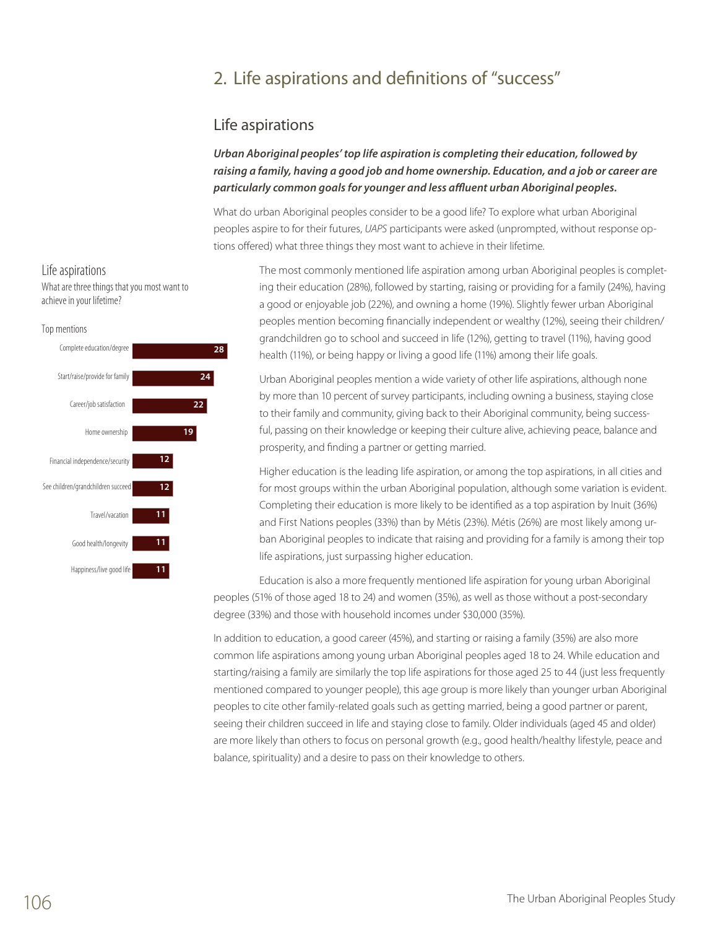# 2. Life aspirations and definitions of "success"

# Life aspirations

*Urban Aboriginal peoples' top life aspiration is completing their education, followed by raising a family, having a good job and home ownership. Education, and a job or career are particularly common goals for younger and less affluent urban Aboriginal peoples.*

What do urban Aboriginal peoples consider to be a good life? To explore what urban Aboriginal peoples aspire to for their futures, *UAPS* participants were asked (unprompted, without response options offered) what three things they most want to achieve in their lifetime.

> The most commonly mentioned life aspiration among urban Aboriginal peoples is completing their education (28%), followed by starting, raising or providing for a family (24%), having a good or enjoyable job (22%), and owning a home (19%). Slightly fewer urban Aboriginal peoples mention becoming financially independent or wealthy (12%), seeing their children/ grandchildren go to school and succeed in life (12%), getting to travel (11%), having good health (11%), or being happy or living a good life (11%) among their life goals.

Urban Aboriginal peoples mention a wide variety of other life aspirations, although none by more than 10 percent of survey participants, including owning a business, staying close to their family and community, giving back to their Aboriginal community, being successful, passing on their knowledge or keeping their culture alive, achieving peace, balance and prosperity, and finding a partner or getting married.

Higher education is the leading life aspiration, or among the top aspirations, in all cities and for most groups within the urban Aboriginal population, although some variation is evident. Completing their education is more likely to be identified as a top aspiration by Inuit (36%) and First Nations peoples (33%) than by Métis (23%). Métis (26%) are most likely among urban Aboriginal peoples to indicate that raising and providing for a family is among their top life aspirations, just surpassing higher education.

Education is also a more frequently mentioned life aspiration for young urban Aboriginal peoples (51% of those aged 18 to 24) and women (35%), as well as those without a post-secondary degree (33%) and those with household incomes under \$30,000 (35%).

In addition to education, a good career (45%), and starting or raising a family (35%) are also more common life aspirations among young urban Aboriginal peoples aged 18 to 24. While education and starting/raising a family are similarly the top life aspirations for those aged 25 to 44 (just less frequently mentioned compared to younger people), this age group is more likely than younger urban Aboriginal peoples to cite other family-related goals such as getting married, being a good partner or parent, seeing their children succeed in life and staying close to family. Older individuals (aged 45 and older) are more likely than others to focus on personal growth (e.g., good health/healthy lifestyle, peace and balance, spirituality) and a desire to pass on their knowledge to others.

### Life aspirations

What are three things that you most want to achieve in your lifetime?

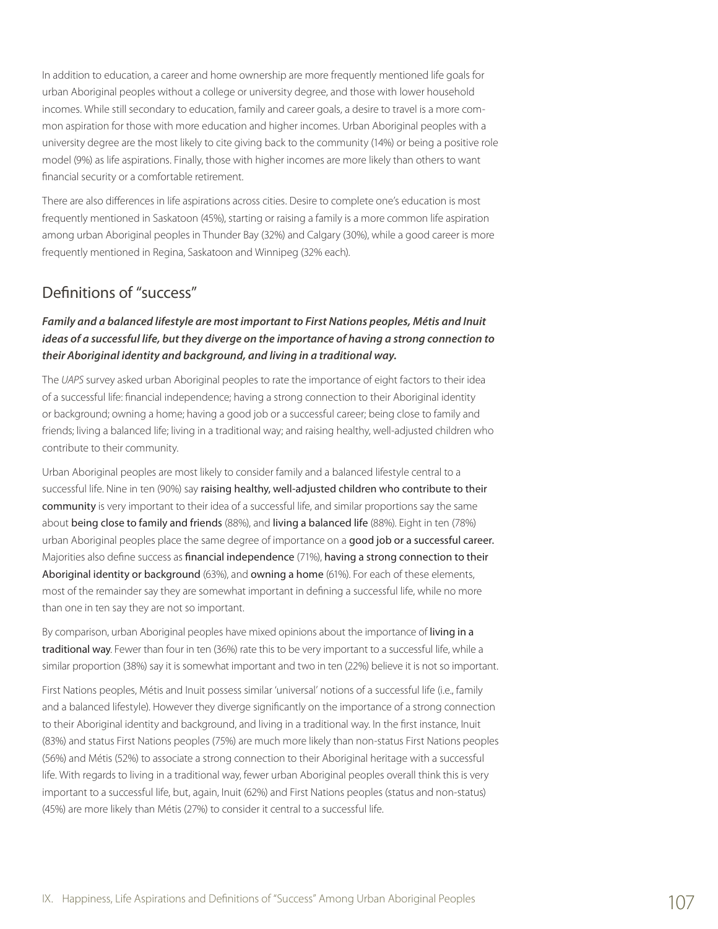In addition to education, a career and home ownership are more frequently mentioned life goals for urban Aboriginal peoples without a college or university degree, and those with lower household incomes. While still secondary to education, family and career goals, a desire to travel is a more common aspiration for those with more education and higher incomes. Urban Aboriginal peoples with a university degree are the most likely to cite giving back to the community (14%) or being a positive role model (9%) as life aspirations. Finally, those with higher incomes are more likely than others to want financial security or a comfortable retirement.

There are also differences in life aspirations across cities. Desire to complete one's education is most frequently mentioned in Saskatoon (45%), starting or raising a family is a more common life aspiration among urban Aboriginal peoples in Thunder Bay (32%) and Calgary (30%), while a good career is more frequently mentioned in Regina, Saskatoon and Winnipeg (32% each).

# Definitions of "success"

### *Family and a balanced lifestyle are most important to First Nations peoples, Métis and Inuit ideas of a successful life, but they diverge on the importance of having a strong connection to their Aboriginal identity and background, and living in a traditional way.*

The *UAPS* survey asked urban Aboriginal peoples to rate the importance of eight factors to their idea of a successful life: financial independence; having a strong connection to their Aboriginal identity or background; owning a home; having a good job or a successful career; being close to family and friends; living a balanced life; living in a traditional way; and raising healthy, well-adjusted children who contribute to their community.

Urban Aboriginal peoples are most likely to consider family and a balanced lifestyle central to a successful life. Nine in ten (90%) say raising healthy, well-adjusted children who contribute to their community is very important to their idea of a successful life, and similar proportions say the same about being close to family and friends (88%), and living a balanced life (88%). Eight in ten (78%) urban Aboriginal peoples place the same degree of importance on a good job or a successful career. Majorities also define success as financial independence (71%), having a strong connection to their Aboriginal identity or background (63%), and owning a home (61%). For each of these elements, most of the remainder say they are somewhat important in defining a successful life, while no more than one in ten say they are not so important.

By comparison, urban Aboriginal peoples have mixed opinions about the importance of living in a traditional way. Fewer than four in ten (36%) rate this to be very important to a successful life, while a similar proportion (38%) say it is somewhat important and two in ten (22%) believe it is not so important.

First Nations peoples, Métis and Inuit possess similar 'universal' notions of a successful life (i.e., family and a balanced lifestyle). However they diverge significantly on the importance of a strong connection to their Aboriginal identity and background, and living in a traditional way. In the first instance, Inuit (83%) and status First Nations peoples (75%) are much more likely than non-status First Nations peoples (56%) and Métis (52%) to associate a strong connection to their Aboriginal heritage with a successful life. With regards to living in a traditional way, fewer urban Aboriginal peoples overall think this is very important to a successful life, but, again, Inuit (62%) and First Nations peoples (status and non-status) (45%) are more likely than Métis (27%) to consider it central to a successful life.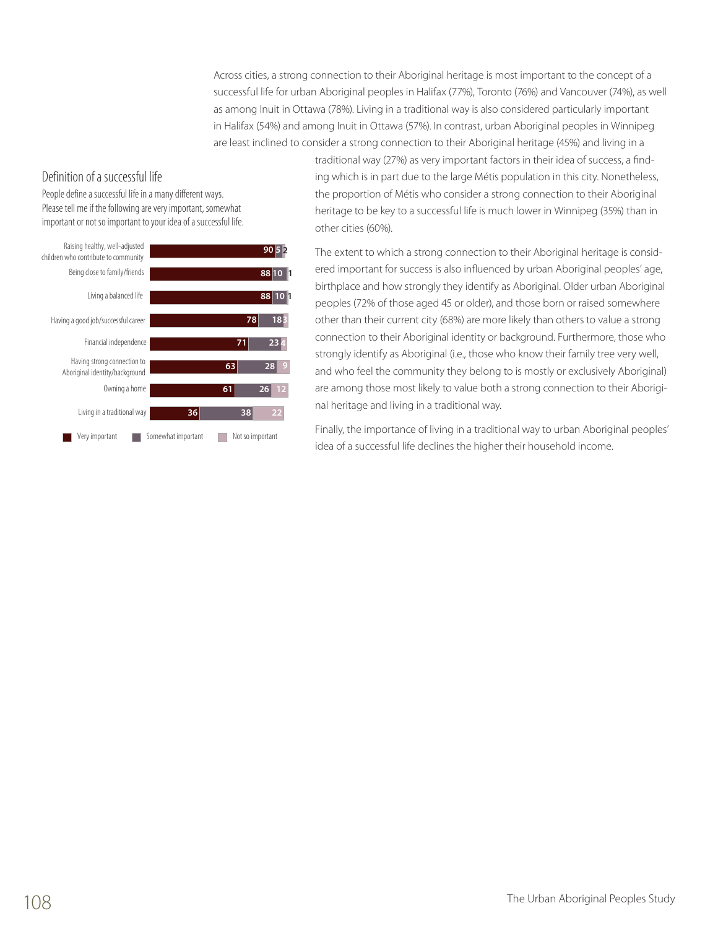Across cities, a strong connection to their Aboriginal heritage is most important to the concept of a successful life for urban Aboriginal peoples in Halifax (77%), Toronto (76%) and Vancouver (74%), as well as among Inuit in Ottawa (78%). Living in a traditional way is also considered particularly important in Halifax (54%) and among Inuit in Ottawa (57%). In contrast, urban Aboriginal peoples in Winnipeg are least inclined to consider a strong connection to their Aboriginal heritage (45%) and living in a

### Definition of a successful life

People define a successful life in a many different ways. Please tell me if the following are very important, somewhat important or not so important to your idea of a successful life.



traditional way (27%) as very important factors in their idea of success, a finding which is in part due to the large Métis population in this city. Nonetheless, the proportion of Métis who consider a strong connection to their Aboriginal heritage to be key to a successful life is much lower in Winnipeg (35%) than in other cities (60%).

The extent to which a strong connection to their Aboriginal heritage is considered important for success is also influenced by urban Aboriginal peoples' age, birthplace and how strongly they identify as Aboriginal. Older urban Aboriginal peoples (72% of those aged 45 or older), and those born or raised somewhere other than their current city (68%) are more likely than others to value a strong connection to their Aboriginal identity or background. Furthermore, those who strongly identify as Aboriginal (i.e., those who know their family tree very well, and who feel the community they belong to is mostly or exclusively Aboriginal) are among those most likely to value both a strong connection to their Aboriginal heritage and living in a traditional way.

Finally, the importance of living in a traditional way to urban Aboriginal peoples' idea of a successful life declines the higher their household income.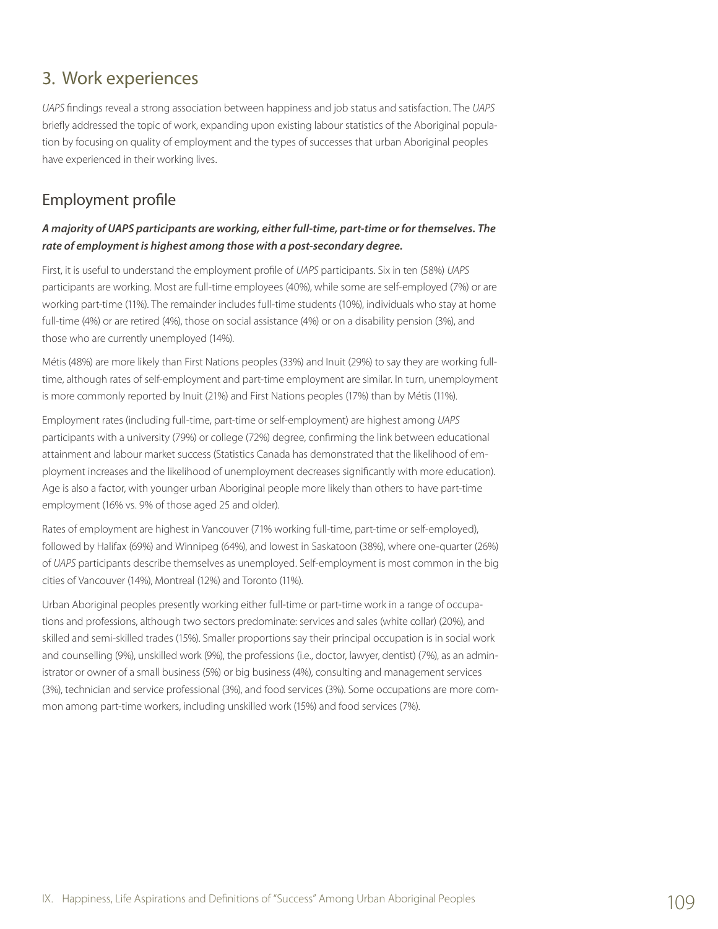# 3. Work experiences

*UAPS* findings reveal a strong association between happiness and job status and satisfaction. The *UAPS* briefly addressed the topic of work, expanding upon existing labour statistics of the Aboriginal population by focusing on quality of employment and the types of successes that urban Aboriginal peoples have experienced in their working lives.

# Employment profile

### *A majority of UAPS participants are working, either full-time, part-time or for themselves. The rate of employment is highest among those with a post-secondary degree.*

First, it is useful to understand the employment profile of *UAPS* participants. Six in ten (58%) *UAPS* participants are working. Most are full-time employees (40%), while some are self-employed (7%) or are working part-time (11%). The remainder includes full-time students (10%), individuals who stay at home full-time (4%) or are retired (4%), those on social assistance (4%) or on a disability pension (3%), and those who are currently unemployed (14%).

Métis (48%) are more likely than First Nations peoples (33%) and Inuit (29%) to say they are working fulltime, although rates of self-employment and part-time employment are similar. In turn, unemployment is more commonly reported by Inuit (21%) and First Nations peoples (17%) than by Métis (11%).

Employment rates (including full-time, part-time or self-employment) are highest among *UAPS* participants with a university (79%) or college (72%) degree, confirming the link between educational attainment and labour market success (Statistics Canada has demonstrated that the likelihood of employment increases and the likelihood of unemployment decreases significantly with more education). Age is also a factor, with younger urban Aboriginal people more likely than others to have part-time employment (16% vs. 9% of those aged 25 and older).

Rates of employment are highest in Vancouver (71% working full-time, part-time or self-employed), followed by Halifax (69%) and Winnipeg (64%), and lowest in Saskatoon (38%), where one-quarter (26%) of *UAPS* participants describe themselves as unemployed. Self-employment is most common in the big cities of Vancouver (14%), Montreal (12%) and Toronto (11%).

Urban Aboriginal peoples presently working either full-time or part-time work in a range of occupations and professions, although two sectors predominate: services and sales (white collar) (20%), and skilled and semi-skilled trades (15%). Smaller proportions say their principal occupation is in social work and counselling (9%), unskilled work (9%), the professions (i.e., doctor, lawyer, dentist) (7%), as an administrator or owner of a small business (5%) or big business (4%), consulting and management services (3%), technician and service professional (3%), and food services (3%). Some occupations are more common among part-time workers, including unskilled work (15%) and food services (7%).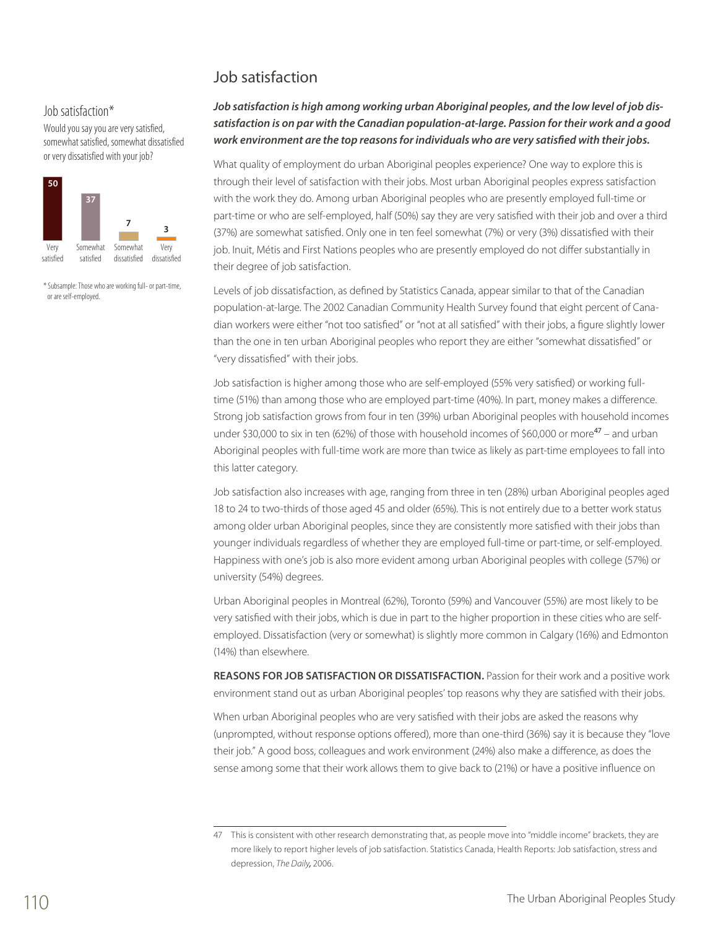# Job satisfaction

### Job satisfaction\*

Would you say you are very satisfied, somewhat satisfied, somewhat dissatisfied or very dissatisfied with your job?



\* Subsample: Those who are working full- or part-time, or are self-employed.

## *Job satisfaction is high among working urban Aboriginal peoples, and the low level of job dissatisfaction is on par with the Canadian population-at-large. Passion for their work and a good work environment are the top reasons for individuals who are very satisfied with their jobs.*

What quality of employment do urban Aboriginal peoples experience? One way to explore this is through their level of satisfaction with their jobs. Most urban Aboriginal peoples express satisfaction with the work they do. Among urban Aboriginal peoples who are presently employed full-time or part-time or who are self-employed, half (50%) say they are very satisfied with their job and over a third (37%) are somewhat satisfied. Only one in ten feel somewhat (7%) or very (3%) dissatisfied with their job. Inuit, Métis and First Nations peoples who are presently employed do not differ substantially in their degree of job satisfaction.

Levels of job dissatisfaction, as defined by Statistics Canada, appear similar to that of the Canadian population-at-large. The 2002 Canadian Community Health Survey found that eight percent of Canadian workers were either "not too satisfied" or "not at all satisfied" with their jobs, a figure slightly lower than the one in ten urban Aboriginal peoples who report they are either "somewhat dissatisfied" or "very dissatisfied" with their jobs.

Job satisfaction is higher among those who are self-employed (55% very satisfied) or working fulltime (51%) than among those who are employed part-time (40%). In part, money makes a difference. Strong job satisfaction grows from four in ten (39%) urban Aboriginal peoples with household incomes under \$30,000 to six in ten (62%) of those with household incomes of \$60,000 or more $47$  – and urban Aboriginal peoples with full-time work are more than twice as likely as part-time employees to fall into this latter category.

Job satisfaction also increases with age, ranging from three in ten (28%) urban Aboriginal peoples aged 18 to 24 to two-thirds of those aged 45 and older (65%). This is not entirely due to a better work status among older urban Aboriginal peoples, since they are consistently more satisfied with their jobs than younger individuals regardless of whether they are employed full-time or part-time, or self-employed. Happiness with one's job is also more evident among urban Aboriginal peoples with college (57%) or university (54%) degrees.

Urban Aboriginal peoples in Montreal (62%), Toronto (59%) and Vancouver (55%) are most likely to be very satisfied with their jobs, which is due in part to the higher proportion in these cities who are selfemployed. Dissatisfaction (very or somewhat) is slightly more common in Calgary (16%) and Edmonton (14%) than elsewhere.

**Reasons for job satisfaction or dissatisfaction.** Passion for their work and a positive work environment stand out as urban Aboriginal peoples' top reasons why they are satisfied with their jobs.

When urban Aboriginal peoples who are very satisfied with their jobs are asked the reasons why (unprompted, without response options offered), more than one-third (36%) say it is because they "love their job." A good boss, colleagues and work environment (24%) also make a difference, as does the sense among some that their work allows them to give back to (21%) or have a positive influence on

<sup>47</sup> This is consistent with other research demonstrating that, as people move into "middle income" brackets, they are more likely to report higher levels of job satisfaction. Statistics Canada, Health Reports: Job satisfaction, stress and depression, *The Daily,* 2006.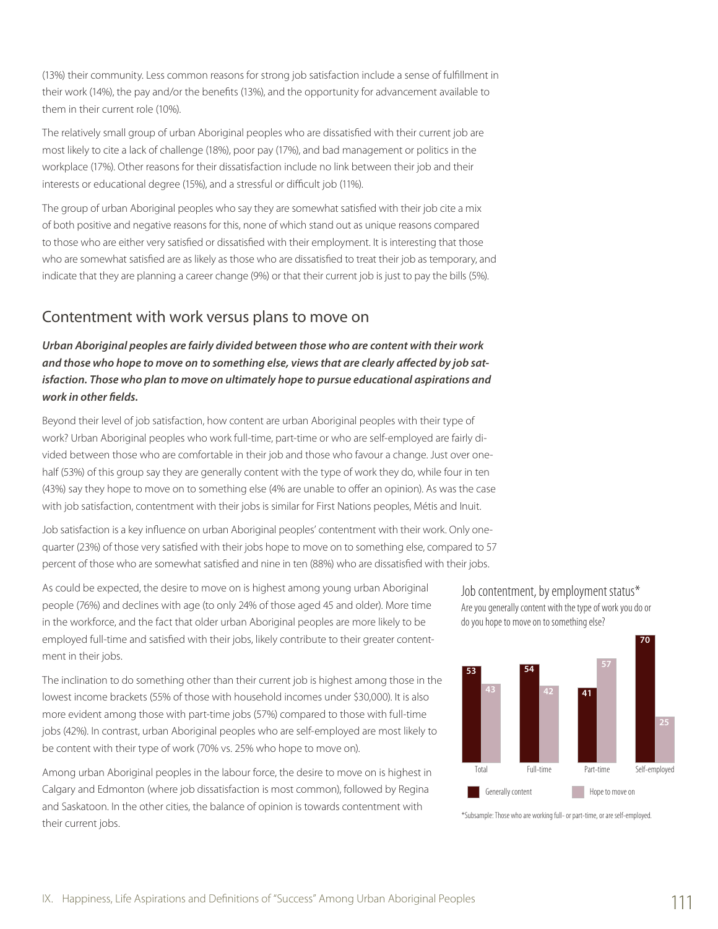(13%) their community. Less common reasons for strong job satisfaction include a sense of fulfillment in their work (14%), the pay and/or the benefits (13%), and the opportunity for advancement available to them in their current role (10%).

The relatively small group of urban Aboriginal peoples who are dissatisfied with their current job are most likely to cite a lack of challenge (18%), poor pay (17%), and bad management or politics in the workplace (17%). Other reasons for their dissatisfaction include no link between their job and their interests or educational degree (15%), and a stressful or difficult job (11%).

The group of urban Aboriginal peoples who say they are somewhat satisfied with their job cite a mix of both positive and negative reasons for this, none of which stand out as unique reasons compared to those who are either very satisfied or dissatisfied with their employment. It is interesting that those who are somewhat satisfied are as likely as those who are dissatisfied to treat their job as temporary, and indicate that they are planning a career change (9%) or that their current job is just to pay the bills (5%).

# Contentment with work versus plans to move on

## *Urban Aboriginal peoples are fairly divided between those who are content with their work and those who hope to move on to something else, views that are clearly affected by job satisfaction. Those who plan to move on ultimately hope to pursue educational aspirations and work in other fields.*

Beyond their level of job satisfaction, how content are urban Aboriginal peoples with their type of work? Urban Aboriginal peoples who work full-time, part-time or who are self-employed are fairly divided between those who are comfortable in their job and those who favour a change. Just over onehalf (53%) of this group say they are generally content with the type of work they do, while four in ten (43%) say they hope to move on to something else (4% are unable to offer an opinion). As was the case with job satisfaction, contentment with their jobs is similar for First Nations peoples, Métis and Inuit.

Job satisfaction is a key influence on urban Aboriginal peoples' contentment with their work. Only onequarter (23%) of those very satisfied with their jobs hope to move on to something else, compared to 57 percent of those who are somewhat satisfied and nine in ten (88%) who are dissatisfied with their jobs.

As could be expected, the desire to move on is highest among young urban Aboriginal people (76%) and declines with age (to only 24% of those aged 45 and older). More time in the workforce, and the fact that older urban Aboriginal peoples are more likely to be employed full-time and satisfied with their jobs, likely contribute to their greater contentment in their jobs.

The inclination to do something other than their current job is highest among those in the lowest income brackets (55% of those with household incomes under \$30,000). It is also more evident among those with part-time jobs (57%) compared to those with full-time jobs (42%). In contrast, urban Aboriginal peoples who are self-employed are most likely to be content with their type of work (70% vs. 25% who hope to move on).

Among urban Aboriginal peoples in the labour force, the desire to move on is highest in Calgary and Edmonton (where job dissatisfaction is most common), followed by Regina and Saskatoon. In the other cities, the balance of opinion is towards contentment with their current jobs.

Job contentment, by employment status\* Are you generally content with the type of work you do or do you hope to move on to something else?



<sup>\*</sup>Subsample: Those who are working full- or part-time, or are self-employed.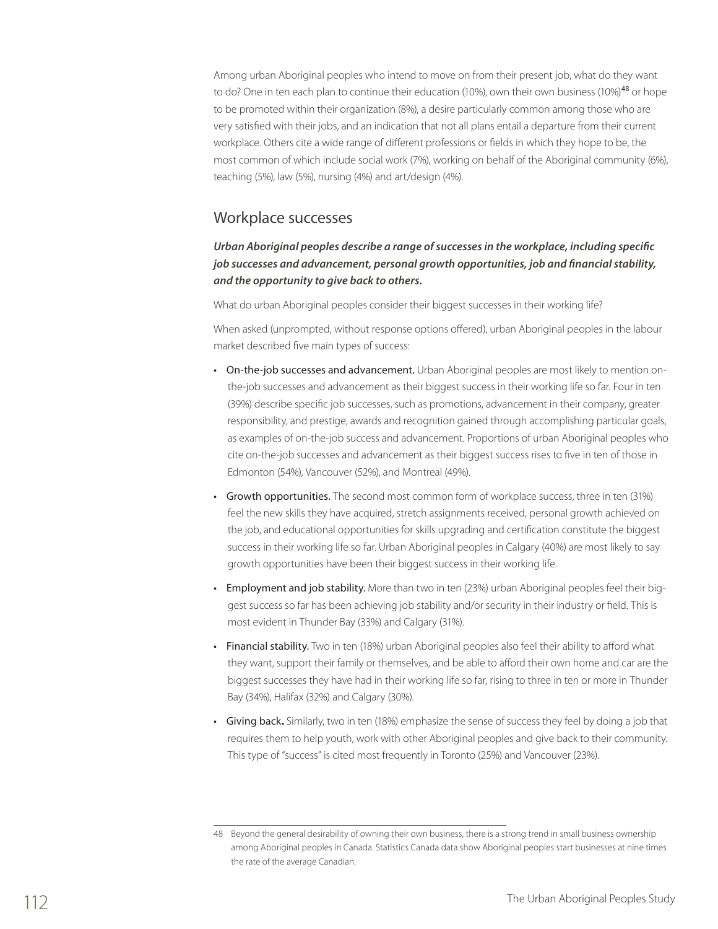Among urban Aboriginal peoples who intend to move on from their present job, what do they want to do? One in ten each plan to continue their education (10%), own their own business (10%)<sup>48</sup> or hope to be promoted within their organization (8%), a desire particularly common among those who are very satisfied with their jobs, and an indication that not all plans entail a departure from their current workplace. Others cite a wide range of different professions or fields in which they hope to be, the most common of which include social work (7%), working on behalf of the Aboriginal community (6%), teaching (5%), law (5%), nursing (4%) and art/design (4%).

## Workplace successes

### *Urban Aboriginal peoples describe a range of successes in the workplace, including specific job successes and advancement, personal growth opportunities, job and financial stability, and the opportunity to give back to others.*

What do urban Aboriginal peoples consider their biggest successes in their working life?

When asked (unprompted, without response options offered), urban Aboriginal peoples in the labour market described five main types of success:

- On-the-job successes and advancement. Urban Aboriginal peoples are most likely to mention onthe-job successes and advancement as their biggest success in their working life so far. Four in ten (39%) describe specific job successes, such as promotions, advancement in their company, greater responsibility, and prestige, awards and recognition gained through accomplishing particular goals, as examples of on-the-job success and advancement. Proportions of urban Aboriginal peoples who cite on-the-job successes and advancement as their biggest success rises to five in ten of those in Edmonton (54%), Vancouver (52%), and Montreal (49%).
- Growth opportunities. The second most common form of workplace success, three in ten (31%) feel the new skills they have acquired, stretch assignments received, personal growth achieved on the job, and educational opportunities for skills upgrading and certification constitute the biggest success in their working life so far. Urban Aboriginal peoples in Calgary (40%) are most likely to say growth opportunities have been their biggest success in their working life.
- Employment and job stability. More than two in ten (23%) urban Aboriginal peoples feel their biggest success so far has been achieving job stability and/or security in their industry or field. This is most evident in Thunder Bay (33%) and Calgary (31%).
- Financial stability. Two in ten (18%) urban Aboriginal peoples also feel their ability to afford what they want, support their family or themselves, and be able to afford their own home and car are the biggest successes they have had in their working life so far, rising to three in ten or more in Thunder Bay (34%), Halifax (32%) and Calgary (30%).
- Giving back**.** Similarly, two in ten (18%) emphasize the sense of success they feel by doing a job that requires them to help youth, work with other Aboriginal peoples and give back to their community. This type of "success" is cited most frequently in Toronto (25%) and Vancouver (23%).

<sup>48</sup> Beyond the general desirability of owning their own business, there is a strong trend in small business ownership among Aboriginal peoples in Canada. Statistics Canada data show Aboriginal peoples start businesses at nine times the rate of the average Canadian.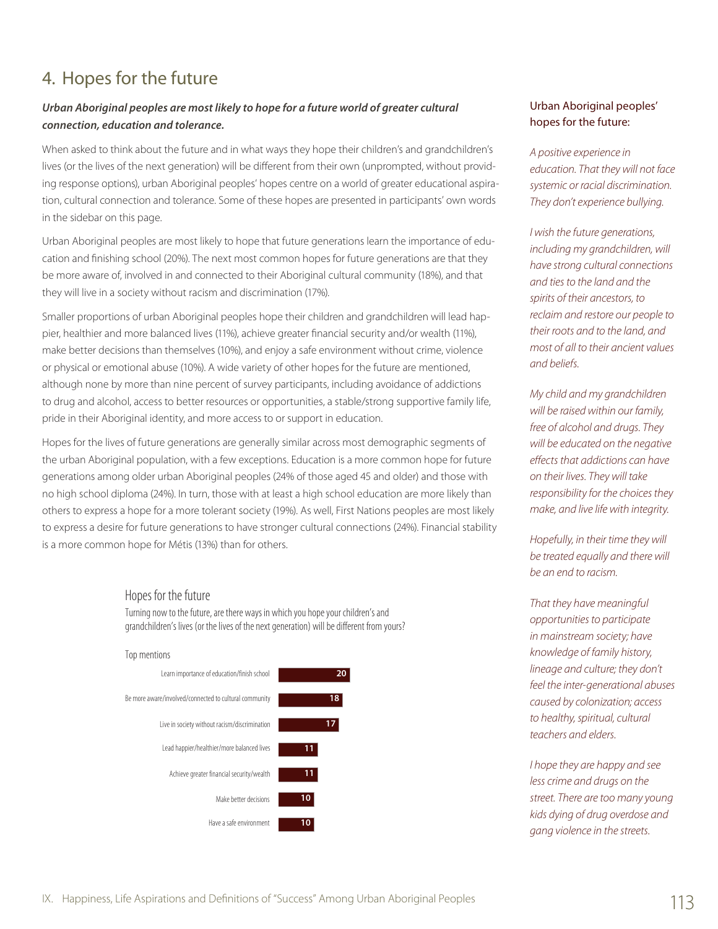# 4. Hopes for the future

## *Urban Aboriginal peoples are most likely to hope for a future world of greater cultural connection, education and tolerance.*

When asked to think about the future and in what ways they hope their children's and grandchildren's lives (or the lives of the next generation) will be different from their own (unprompted, without providing response options), urban Aboriginal peoples' hopes centre on a world of greater educational aspiration, cultural connection and tolerance. Some of these hopes are presented in participants' own words in the sidebar on this page.

Urban Aboriginal peoples are most likely to hope that future generations learn the importance of education and finishing school (20%). The next most common hopes for future generations are that they be more aware of, involved in and connected to their Aboriginal cultural community (18%), and that they will live in a society without racism and discrimination (17%).

Smaller proportions of urban Aboriginal peoples hope their children and grandchildren will lead happier, healthier and more balanced lives (11%), achieve greater financial security and/or wealth (11%), make better decisions than themselves (10%), and enjoy a safe environment without crime, violence or physical or emotional abuse (10%). A wide variety of other hopes for the future are mentioned, although none by more than nine percent of survey participants, including avoidance of addictions to drug and alcohol, access to better resources or opportunities, a stable/strong supportive family life, pride in their Aboriginal identity, and more access to or support in education.

Hopes for the lives of future generations are generally similar across most demographic segments of the urban Aboriginal population, with a few exceptions. Education is a more common hope for future generations among older urban Aboriginal peoples (24% of those aged 45 and older) and those with no high school diploma (24%). In turn, those with at least a high school education are more likely than others to express a hope for a more tolerant society (19%). As well, First Nations peoples are most likely to express a desire for future generations to have stronger cultural connections (24%). Financial stability is a more common hope for Métis (13%) than for others.

### Hopes for the future

Turning now to the future, are there ways in which you hope your children's and grandchildren's lives (or the lives of the next generation) will be different from yours?



## Urban Aboriginal peoples' hopes for the future:

*A positive experience in education. That they will not face systemic or racial discrimination. They don't experience bullying.*

*I wish the future generations, including my grandchildren, will have strong cultural connections and ties to the land and the spirits of their ancestors, to reclaim and restore our people to their roots and to the land, and most of all to their ancient values and beliefs.*

*My child and my grandchildren will be raised within our family, free of alcohol and drugs. They will be educated on the negative effects that addictions can have on their lives. They will take responsibility for the choices they make, and live life with integrity.*

*Hopefully, in their time they will be treated equally and there will be an end to racism.*

*That they have meaningful opportunities to participate in mainstream society; have knowledge of family history, lineage and culture; they don't feel the inter-generational abuses caused by colonization; access to healthy, spiritual, cultural teachers and elders.*

*I hope they are happy and see less crime and drugs on the street. There are too many young kids dying of drug overdose and gang violence in the streets.*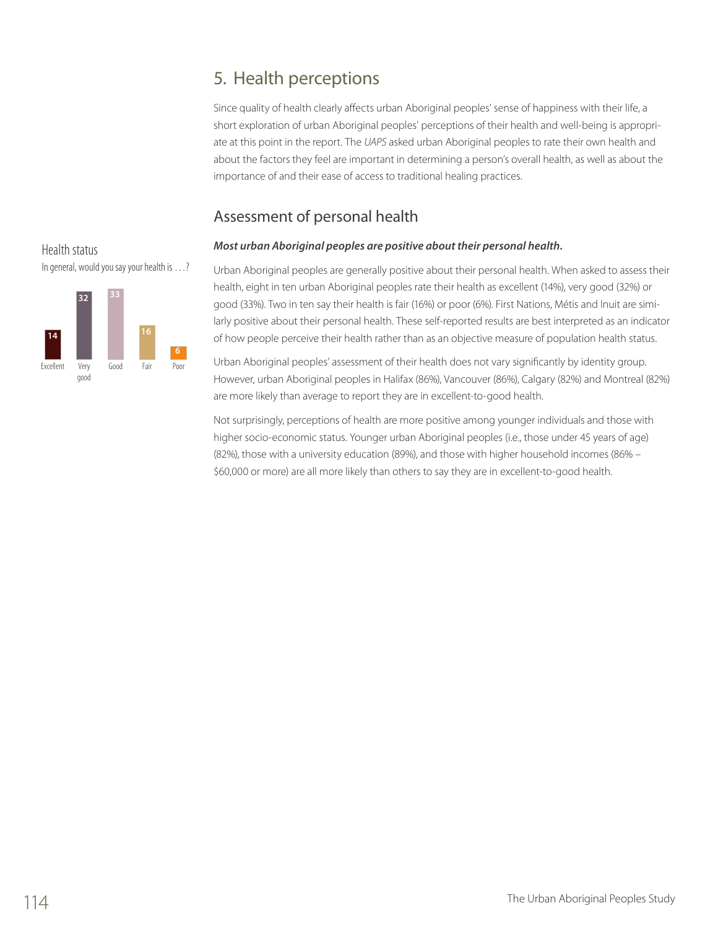# 5. Health perceptions

Since quality of health clearly affects urban Aboriginal peoples' sense of happiness with their life, a short exploration of urban Aboriginal peoples' perceptions of their health and well-being is appropriate at this point in the report. The *UAPS* asked urban Aboriginal peoples to rate their own health and about the factors they feel are important in determining a person's overall health, as well as about the importance of and their ease of access to traditional healing practices.

# Assessment of personal health

## *Most urban Aboriginal peoples are positive about their personal health.* I9



In general, would you say your health is …?

Health status

Urban Aboriginal peoples are generally positive about their personal health. When asked to assess their health, eight in ten urban Aboriginal peoples rate their health as excellent (14%), very good (32%) or good (33%). Two in ten say their health is fair (16%) or poor (6%). First Nations, Métis and Inuit are similarly positive about their personal health. These self-reported results are best interpreted as an indicator of how people perceive their health rather than as an objective measure of population health status.

Urban Aboriginal peoples' assessment of their health does not vary significantly by identity group. However, urban Aboriginal peoples in Halifax (86%), Vancouver (86%), Calgary (82%) and Montreal (82%) are more likely than average to report they are in excellent-to-good health.

Not surprisingly, perceptions of health are more positive among younger individuals and those with higher socio-economic status. Younger urban Aboriginal peoples (i.e., those under 45 years of age) (82%), those with a university education (89%), and those with higher household incomes (86% – \$60,000 or more) are all more likely than others to say they are in excellent-to-good health.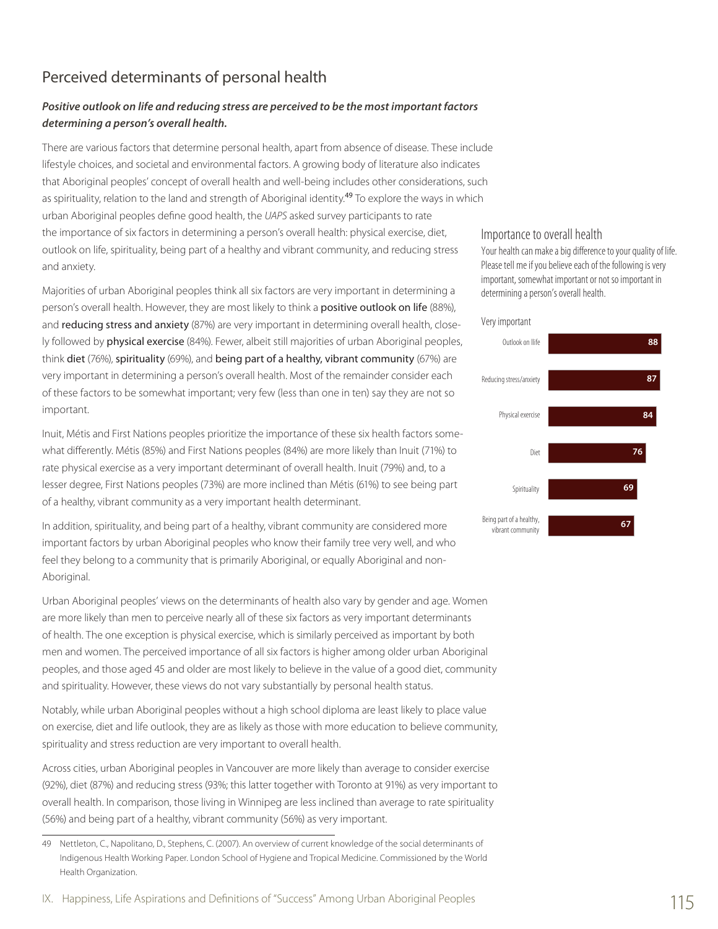# Perceived determinants of personal health

## *Positive outlook on life and reducing stress are perceived to be the most important factors determining a person's overall health.*

There are various factors that determine personal health, apart from absence of disease. These include lifestyle choices, and societal and environmental factors. A growing body of literature also indicates that Aboriginal peoples' concept of overall health and well-being includes other considerations, such as spirituality, relation to the land and strength of Aboriginal identity.<sup>49</sup> To explore the ways in which urban Aboriginal peoples define good health, the *UAPS* asked survey participants to rate the importance of six factors in determining a person's overall health: physical exercise, diet, outlook on life, spirituality, being part of a healthy and vibrant community, and reducing stress and anxiety.

Majorities of urban Aboriginal peoples think all six factors are very important in determining a person's overall health. However, they are most likely to think a positive outlook on life (88%), and reducing stress and anxiety (87%) are very important in determining overall health, closely followed by physical exercise (84%). Fewer, albeit still majorities of urban Aboriginal peoples, think diet (76%), spirituality (69%), and being part of a healthy, vibrant community (67%) are very important in determining a person's overall health. Most of the remainder consider each of these factors to be somewhat important; very few (less than one in ten) say they are not so important.

Inuit, Métis and First Nations peoples prioritize the importance of these six health factors somewhat differently. Métis (85%) and First Nations peoples (84%) are more likely than Inuit (71%) to rate physical exercise as a very important determinant of overall health. Inuit (79%) and, to a lesser degree, First Nations peoples (73%) are more inclined than Métis (61%) to see being part of a healthy, vibrant community as a very important health determinant.

In addition, spirituality, and being part of a healthy, vibrant community are considered more important factors by urban Aboriginal peoples who know their family tree very well, and who feel they belong to a community that is primarily Aboriginal, or equally Aboriginal and non-Aboriginal.

Urban Aboriginal peoples' views on the determinants of health also vary by gender and age. Women are more likely than men to perceive nearly all of these six factors as very important determinants of health. The one exception is physical exercise, which is similarly perceived as important by both men and women. The perceived importance of all six factors is higher among older urban Aboriginal peoples, and those aged 45 and older are most likely to believe in the value of a good diet, community and spirituality. However, these views do not vary substantially by personal health status.

Notably, while urban Aboriginal peoples without a high school diploma are least likely to place value on exercise, diet and life outlook, they are as likely as those with more education to believe community, spirituality and stress reduction are very important to overall health.

Across cities, urban Aboriginal peoples in Vancouver are more likely than average to consider exercise (92%), diet (87%) and reducing stress (93%; this latter together with Toronto at 91%) as very important to overall health. In comparison, those living in Winnipeg are less inclined than average to rate spirituality (56%) and being part of a healthy, vibrant community (56%) as very important.

#### Importance to overall health

Your health can make a big difference to your quality of life. Please tell me if you believe each of the following is very important, somewhat important or not so important in determining a person's overall health.

#### Very important



<sup>49</sup> Nettleton, C., Napolitano, D., Stephens, C. (2007). An overview of current knowledge of the social determinants of Indigenous Health Working Paper. London School of Hygiene and Tropical Medicine. Commissioned by the World Health Organization.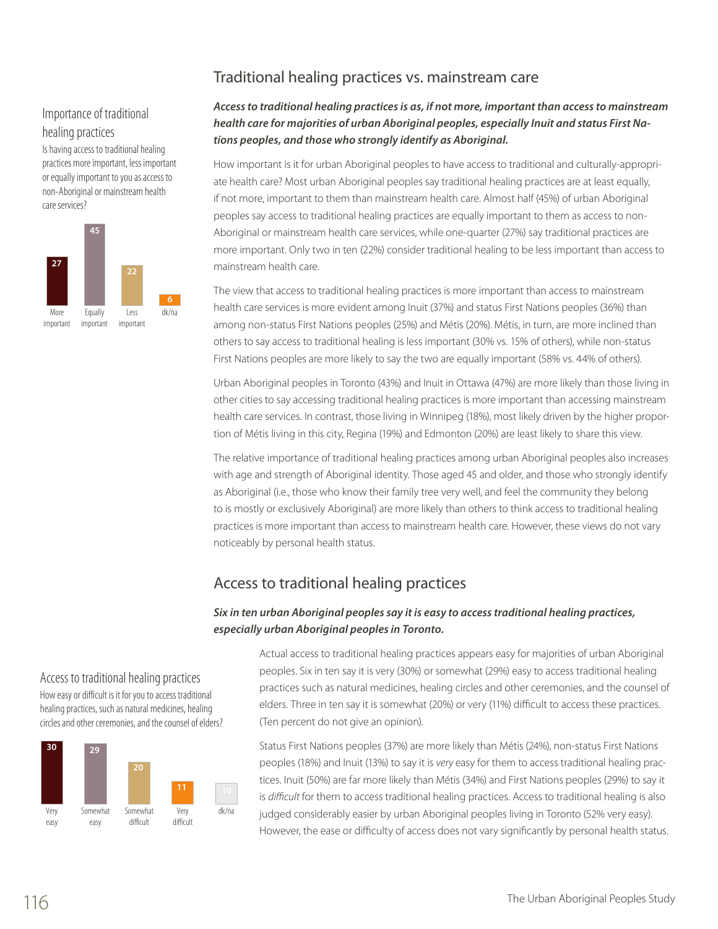# Traditional healing practices vs. mainstream care

## Importance of traditional healing practices

Is having access to traditional healing practices more important, less important or equally important to you as access to non-Aboriginal or mainstream health care services?



### Access to traditional healing practices is as, if not more, important than access to mainstream *health care for majorities of urban Aboriginal peoples, especially Inuit and status First Nations peoples, and those who strongly identify as Aboriginal.*

How important is it for urban Aboriginal peoples to have access to traditional and culturally-appropriate health care? Most urban Aboriginal peoples say traditional healing practices are at least equally, if not more, important to them than mainstream health care. Almost half (45%) of urban Aboriginal peoples say access to traditional healing practices are equally important to them as access to non-Aboriginal or mainstream health care services, while one-quarter (27%) say traditional practices are more important. Only two in ten (22%) consider traditional healing to be less important than access to mainstream health care.

The view that access to traditional healing practices is more important than access to mainstream health care services is more evident among Inuit (37%) and status First Nations peoples (36%) than among non-status First Nations peoples (25%) and Métis (20%). Métis, in turn, are more inclined than others to say access to traditional healing is less important (30% vs. 15% of others), while non-status First Nations peoples are more likely to say the two are equally important (58% vs. 44% of others).

Urban Aboriginal peoples in Toronto (43%) and Inuit in Ottawa (47%) are more likely than those living in other cities to say accessing traditional healing practices is more important than accessing mainstream health care services. In contrast, those living in Winnipeg (18%), most likely driven by the higher proportion of Métis living in this city, Regina (19%) and Edmonton (20%) are least likely to share this view.

The relative importance of traditional healing practices among urban Aboriginal peoples also increases with age and strength of Aboriginal identity. Those aged 45 and older, and those who strongly identify as Aboriginal (i.e., those who know their family tree very well, and feel the community they belong to is mostly or exclusively Aboriginal) are more likely than others to think access to traditional healing practices is more important than access to mainstream health care. However, these views do not vary noticeably by personal health status.

# Access to traditional healing practices

### *Six in ten urban Aboriginal peoples say it is easy to access traditional healing practices, especially urban Aboriginal peoples in Toronto.*

Access to traditional healing practices How easy or difficult is it for you to access traditional healing practices, such as natural medicines, healing circles and other ceremonies, and the counsel of elders?



Actual access to traditional healing practices appears easy for majorities of urban Aboriginal peoples. Six in ten say it is very (30%) or somewhat (29%) easy to access traditional healing practices such as natural medicines, healing circles and other ceremonies, and the counsel of elders. Three in ten say it is somewhat (20%) or very (11%) difficult to access these practices. (Ten percent do not give an opinion).

Status First Nations peoples (37%) are more likely than Métis (24%), non-status First Nations peoples (18%) and Inuit (13%) to say it is *very* easy for them to access traditional healing practices. Inuit (50%) are far more likely than Métis (34%) and First Nations peoples (29%) to say it is *difficult* for them to access traditional healing practices. Access to traditional healing is also judged considerably easier by urban Aboriginal peoples living in Toronto (52% very easy). However, the ease or difficulty of access does not vary significantly by personal health status.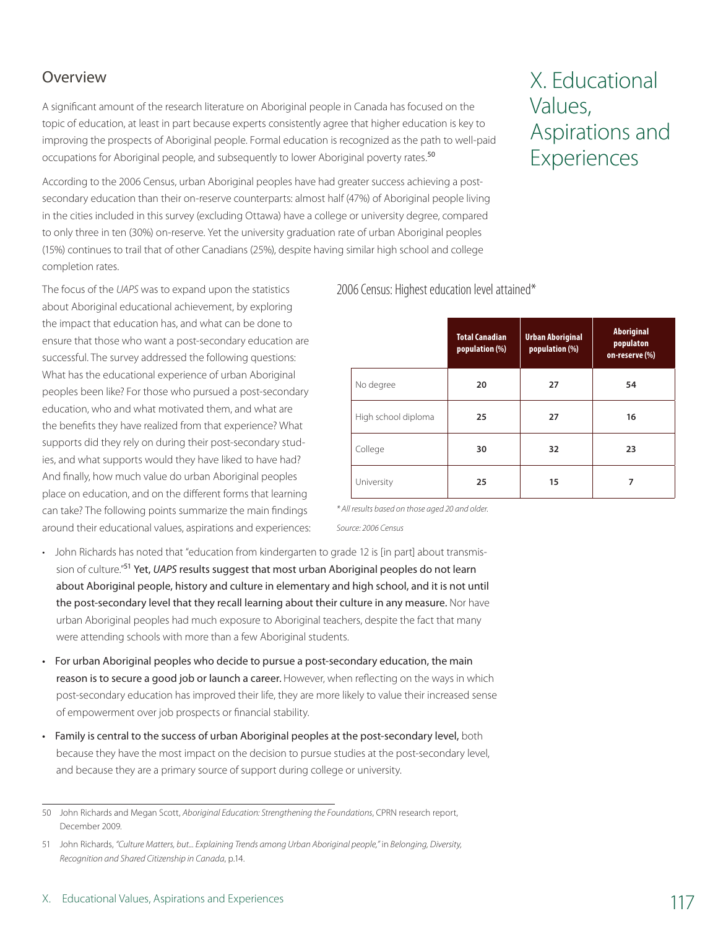# **Overview**

A significant amount of the research literature on Aboriginal people in Canada has focused on the topic of education, at least in part because experts consistently agree that higher education is key to improving the prospects of Aboriginal people. Formal education is recognized as the path to well-paid occupations for Aboriginal people, and subsequently to lower Aboriginal poverty rates.<sup>50</sup>

According to the 2006 Census, urban Aboriginal peoples have had greater success achieving a postsecondary education than their on-reserve counterparts: almost half (47%) of Aboriginal people living in the cities included in this survey (excluding Ottawa) have a college or university degree, compared to only three in ten (30%) on-reserve. Yet the university graduation rate of urban Aboriginal peoples (15%) continues to trail that of other Canadians (25%), despite having similar high school and college completion rates.

The focus of the *UAPS* was to expand upon the statistics about Aboriginal educational achievement, by exploring the impact that education has, and what can be done to ensure that those who want a post-secondary education are successful. The survey addressed the following questions: What has the educational experience of urban Aboriginal peoples been like? For those who pursued a post-secondary education, who and what motivated them, and what are the benefits they have realized from that experience? What supports did they rely on during their post-secondary studies, and what supports would they have liked to have had? And finally, how much value do urban Aboriginal peoples place on education, and on the different forms that learning can take? The following points summarize the main findings around their educational values, aspirations and experiences:

- John Richards has noted that "education from kindergarten to grade 12 is [in part] about transmission of culture."<sup>51</sup> Yet, *UAPS* results suggest that most urban Aboriginal peoples do not learn about Aboriginal people, history and culture in elementary and high school, and it is not until the post-secondary level that they recall learning about their culture in any measure. Nor have urban Aboriginal peoples had much exposure to Aboriginal teachers, despite the fact that many were attending schools with more than a few Aboriginal students.
- For urban Aboriginal peoples who decide to pursue a post-secondary education, the main reason is to secure a good job or launch a career. However, when reflecting on the ways in which post-secondary education has improved their life, they are more likely to value their increased sense of empowerment over job prospects or financial stability.
- Family is central to the success of urban Aboriginal peoples at the post-secondary level, both because they have the most impact on the decision to pursue studies at the post-secondary level, and because they are a primary source of support during college or university.

# X. Educational Values, Aspirations and Experiences

2006 Census: Highest education level attained\*

|                     | <b>Total Canadian</b><br>population (%) | <b>Urban Aboriginal</b><br>population (%) | <b>Aboriginal</b><br>populaton<br>on-reserve (%) |
|---------------------|-----------------------------------------|-------------------------------------------|--------------------------------------------------|
| No degree           | 20                                      | 27                                        | 54                                               |
| High school diploma | 25                                      | 27                                        | 16                                               |
| College             | 30                                      | 32                                        | 23                                               |
| University          | 25                                      | 15                                        | 7                                                |

*\* All results based on those aged 20 and older.*

*Source: 2006 Census*

<sup>50</sup> John Richards and Megan Scott, *Aboriginal Education: Strengthening the Foundations*, CPRN research report, December 2009.

<sup>51</sup> John Richards, *"Culture Matters, but... Explaining Trends among Urban Aboriginal people,"* in *Belonging, Diversity, Recognition and Shared Citizenship in Canada*, p.14.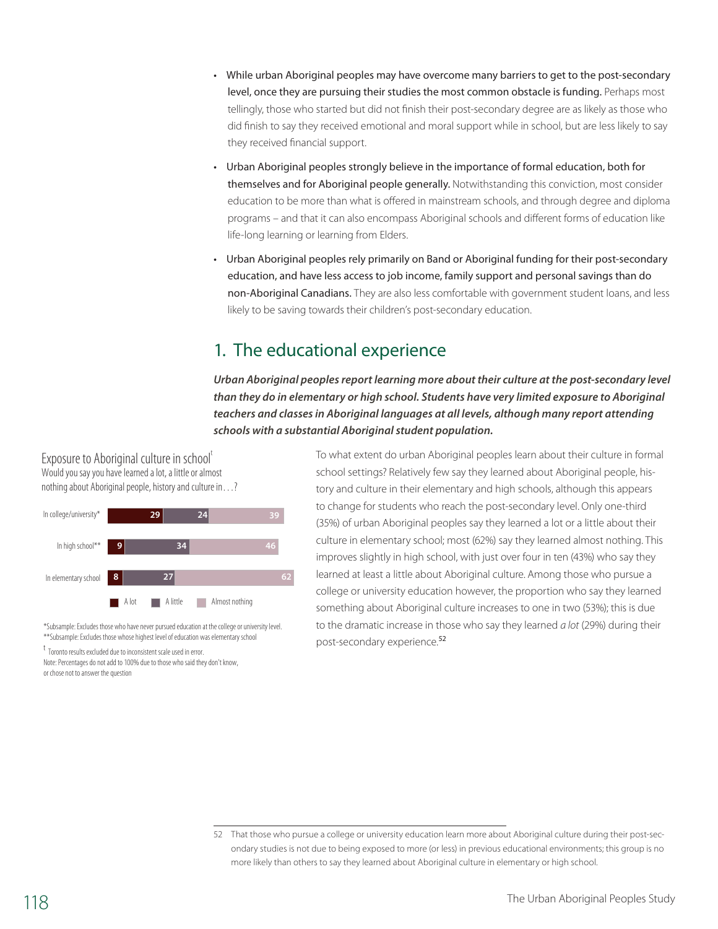- While urban Aboriginal peoples may have overcome many barriers to get to the post-secondary level, once they are pursuing their studies the most common obstacle is funding. Perhaps most tellingly, those who started but did not finish their post-secondary degree are as likely as those who did finish to say they received emotional and moral support while in school, but are less likely to say they received financial support.
- Urban Aboriginal peoples strongly believe in the importance of formal education, both for themselves and for Aboriginal people generally. Notwithstanding this conviction, most consider education to be more than what is offered in mainstream schools, and through degree and diploma programs – and that it can also encompass Aboriginal schools and different forms of education like life-long learning or learning from Elders.
- Urban Aboriginal peoples rely primarily on Band or Aboriginal funding for their post-secondary education, and have less access to job income, family support and personal savings than do non-Aboriginal Canadians. They are also less comfortable with government student loans, and less likely to be saving towards their children's post-secondary education.

# 1. The educational experience

*Urban Aboriginal peoples report learning more about their culture at the post-secondary level than they do in elementary or high school. Students have very limited exposure to Aboriginal*  teachers and classes in Aboriginal languages at all levels, although many report attending *schools with a substantial Aboriginal student population.*

Exposure to Aboriginal culture in school Would you say you have learned a lot, a little or almost nothing about Aboriginal people, history and culture in…?



\*Subsample: Excludes those who have never pursued education at the college or university level. \*\*Subsample: Excludes those whose highest level of education was elementary school

t Toronto results excluded due to inconsistent scale used in error.

Note: Percentages do not add to 100% due to those who said they don't know, or chose not to answer the question

To what extent do urban Aboriginal peoples learn about their culture in formal school settings? Relatively few say they learned about Aboriginal people, history and culture in their elementary and high schools, although this appears to change for students who reach the post-secondary level. Only one-third (35%) of urban Aboriginal peoples say they learned a lot or a little about their culture in elementary school; most (62%) say they learned almost nothing. This improves slightly in high school, with just over four in ten (43%) who say they learned at least a little about Aboriginal culture. Among those who pursue a college or university education however, the proportion who say they learned something about Aboriginal culture increases to one in two (53%); this is due to the dramatic increase in those who say they learned *a lot* (29%) during their post-secondary experience.<sup>52</sup>

<sup>52</sup> That those who pursue a college or university education learn more about Aboriginal culture during their post-secondary studies is not due to being exposed to more (or less) in previous educational environments; this group is no more likely than others to say they learned about Aboriginal culture in elementary or high school.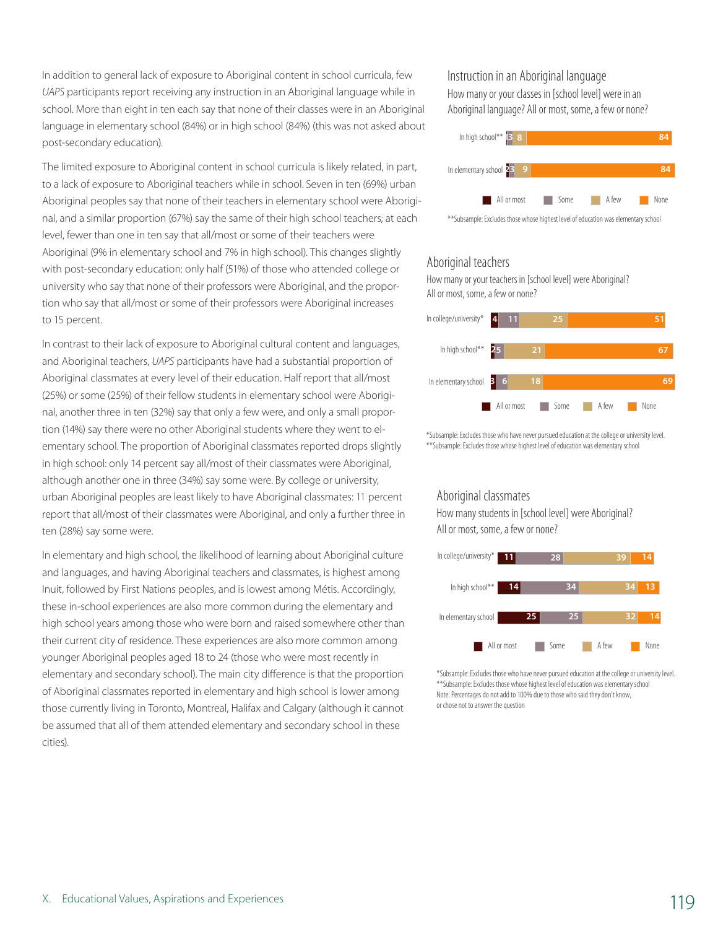In addition to general lack of exposure to Aboriginal content in school curricula, few *UAPS* participants report receiving any instruction in an Aboriginal language while in school. More than eight in ten each say that none of their classes were in an Aboriginal language in elementary school (84%) or in high school (84%) (this was not asked about post-secondary education).

The limited exposure to Aboriginal content in school curricula is likely related, in part, to a lack of exposure to Aboriginal teachers while in school. Seven in ten (69%) urban Aboriginal peoples say that none of their teachers in elementary school were Aboriginal, and a similar proportion (67%) say the same of their high school teachers; at each level, fewer than one in ten say that all/most or some of their teachers were Aboriginal (9% in elementary school and 7% in high school). This changes slightly with post-secondary education: only half (51%) of those who attended college or university who say that none of their professors were Aboriginal, and the proportion who say that all/most or some of their professors were Aboriginal increases to 15 percent.

In contrast to their lack of exposure to Aboriginal cultural content and languages, and Aboriginal teachers, *UAPS* participants have had a substantial proportion of Aboriginal classmates at every level of their education. Half report that all/most (25%) or some (25%) of their fellow students in elementary school were Aboriginal, another three in ten (32%) say that only a few were, and only a small proportion (14%) say there were no other Aboriginal students where they went to elementary school. The proportion of Aboriginal classmates reported drops slightly in high school: only 14 percent say all/most of their classmates were Aboriginal, although another one in three (34%) say some were. By college or university, urban Aboriginal peoples are least likely to have Aboriginal classmates: 11 percent report that all/most of their classmates were Aboriginal, and only a further three in ten (28%) say some were.

In elementary and high school, the likelihood of learning about Aboriginal culture and languages, and having Aboriginal teachers and classmates, is highest among Inuit, followed by First Nations peoples, and is lowest among Métis. Accordingly, these in-school experiences are also more common during the elementary and high school years among those who were born and raised somewhere other than their current city of residence. These experiences are also more common among younger Aboriginal peoples aged 18 to 24 (those who were most recently in elementary and secondary school). The main city difference is that the proportion of Aboriginal classmates reported in elementary and high school is lower among those currently living in Toronto, Montreal, Halifax and Calgary (although it cannot be assumed that all of them attended elementary and secondary school in these cities).

### Instruction in an Aboriginal language

How many or your classes in [school level] were in an Aboriginal language? All or most, some, a few or none?



#### Aboriginal teachers

How many or your teachers in [school level] were Aboriginal? All or most, some, a few or none?



\*Subsample: Excludes those who have never pursued education at the college or university level. \*\*Subsample: Excludes those whose highest level of education was elementary school

#### Aboriginal classmates

How many students in [school level] were Aboriginal? All or most, some, a few or none?



\*Subsample: Excludes those who have never pursued education at the college or university level. \*\*Subsample: Excludes those whose highest level of education was elementary school Note: Percentages do not add to 100% due to those who said they don't know, or chose not to answer the question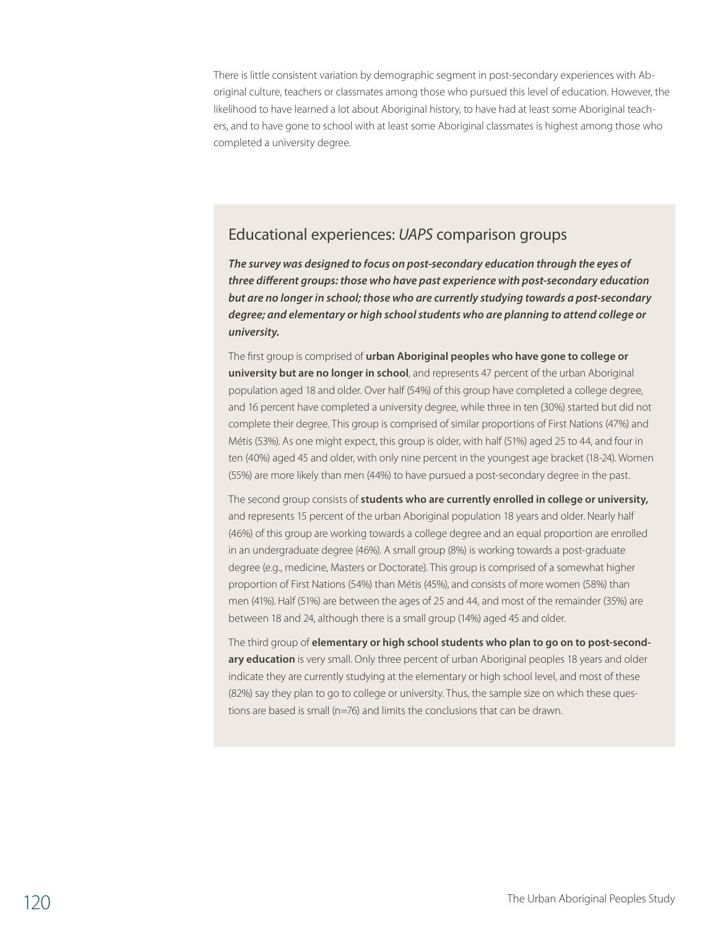There is little consistent variation by demographic segment in post-secondary experiences with Aboriginal culture, teachers or classmates among those who pursued this level of education. However, the likelihood to have learned a lot about Aboriginal history, to have had at least some Aboriginal teachers, and to have gone to school with at least some Aboriginal classmates is highest among those who completed a university degree.

# Educational experiences: *UAPS* comparison groups

*The survey was designed to focus on post-secondary education through the eyes of three different groups: those who have past experience with post-secondary education but are no longer in school; those who are currently studying towards a post-secondary degree; and elementary or high school students who are planning to attend college or university.* 

The first group is comprised of **urban Aboriginal peoples who have gone to college or university but are no longer in school**, and represents 47 percent of the urban Aboriginal population aged 18 and older. Over half (54%) of this group have completed a college degree, and 16 percent have completed a university degree, while three in ten (30%) started but did not complete their degree. This group is comprised of similar proportions of First Nations (47%) and Métis (53%). As one might expect, this group is older, with half (51%) aged 25 to 44, and four in ten (40%) aged 45 and older, with only nine percent in the youngest age bracket (18-24). Women (55%) are more likely than men (44%) to have pursued a post-secondary degree in the past.

The second group consists of **students who are currently enrolled in college or university,** and represents 15 percent of the urban Aboriginal population 18 years and older. Nearly half (46%) of this group are working towards a college degree and an equal proportion are enrolled in an undergraduate degree (46%). A small group (8%) is working towards a post-graduate degree (e.g., medicine, Masters or Doctorate). This group is comprised of a somewhat higher proportion of First Nations (54%) than Métis (45%), and consists of more women (58%) than men (41%). Half (51%) are between the ages of 25 and 44, and most of the remainder (35%) are between 18 and 24, although there is a small group (14%) aged 45 and older.

The third group of **elementary or high school students who plan to go on to post-secondary education** is very small. Only three percent of urban Aboriginal peoples 18 years and older indicate they are currently studying at the elementary or high school level, and most of these (82%) say they plan to go to college or university. Thus, the sample size on which these questions are based is small (n=76) and limits the conclusions that can be drawn.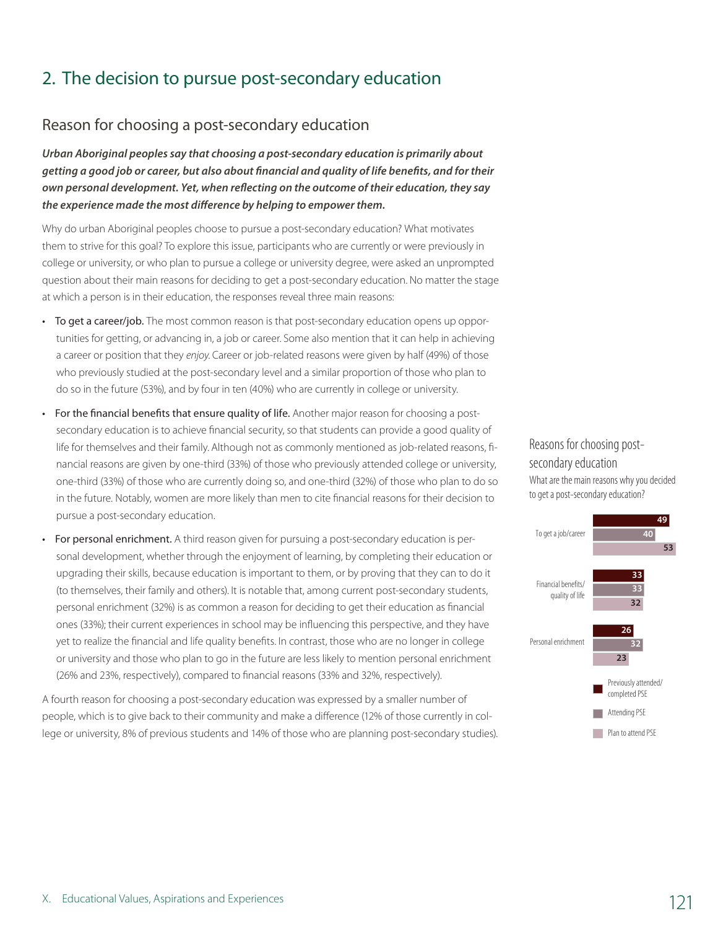# 2. The decision to pursue post-secondary education

# Reason for choosing a post-secondary education

*Urban Aboriginal peoples say that choosing a post-secondary education is primarily about getting a good job or career, but also about financial and quality of life benefits, and for their own personal development. Yet, when reflecting on the outcome of their education, they say the experience made the most difference by helping to empower them.* 

Why do urban Aboriginal peoples choose to pursue a post-secondary education? What motivates them to strive for this goal? To explore this issue, participants who are currently or were previously in college or university, or who plan to pursue a college or university degree, were asked an unprompted question about their main reasons for deciding to get a post-secondary education. No matter the stage at which a person is in their education, the responses reveal three main reasons:

- To get a career/job. The most common reason is that post-secondary education opens up opportunities for getting, or advancing in, a job or career. Some also mention that it can help in achieving a career or position that they *enjoy*. Career or job-related reasons were given by half (49%) of those who previously studied at the post-secondary level and a similar proportion of those who plan to do so in the future (53%), and by four in ten (40%) who are currently in college or university.
- For the financial benefits that ensure quality of life. Another major reason for choosing a postsecondary education is to achieve financial security, so that students can provide a good quality of life for themselves and their family. Although not as commonly mentioned as job-related reasons, financial reasons are given by one-third (33%) of those who previously attended college or university, one-third (33%) of those who are currently doing so, and one-third (32%) of those who plan to do so in the future. Notably, women are more likely than men to cite financial reasons for their decision to pursue a post-secondary education.
- For personal enrichment. A third reason given for pursuing a post-secondary education is personal development, whether through the enjoyment of learning, by completing their education or upgrading their skills, because education is important to them, or by proving that they can to do it (to themselves, their family and others). It is notable that, among current post-secondary students, personal enrichment (32%) is as common a reason for deciding to get their education as financial ones (33%); their current experiences in school may be influencing this perspective, and they have yet to realize the financial and life quality benefits. In contrast, those who are no longer in college or university and those who plan to go in the future are less likely to mention personal enrichment (26% and 23%, respectively), compared to financial reasons (33% and 32%, respectively).

A fourth reason for choosing a post-secondary education was expressed by a smaller number of people, which is to give back to their community and make a difference (12% of those currently in college or university, 8% of previous students and 14% of those who are planning post-secondary studies).

Reasons for choosing postsecondary education What are the main reasons why you decided to get a post-secondary education?

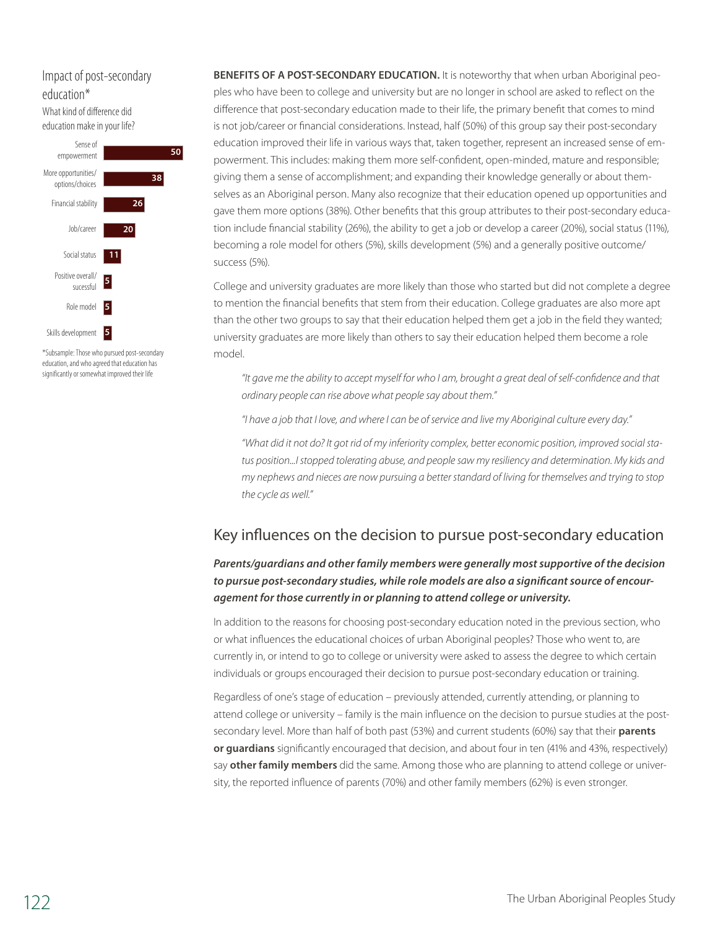# education\* What kind of difference did

education make in your life?



\*Subsample: Those who pursued post-secondary education, and who agreed that education has significantly or somewhat improved their life

Impact of post-secondary **BENEFITS OF A POST-SECONDARY EDUCATION.** It is noteworthy that when urban Aboriginal peoples who have been to college and university but are no longer in school are asked to reflect on the difference that post-secondary education made to their life, the primary benefit that comes to mind is not job/career or financial considerations. Instead, half (50%) of this group say their post-secondary education improved their life in various ways that, taken together, represent an increased sense of empowerment. This includes: making them more self-confident, open-minded, mature and responsible; giving them a sense of accomplishment; and expanding their knowledge generally or about themselves as an Aboriginal person. Many also recognize that their education opened up opportunities and gave them more options (38%). Other benefits that this group attributes to their post-secondary education include financial stability (26%), the ability to get a job or develop a career (20%), social status (11%), becoming a role model for others (5%), skills development (5%) and a generally positive outcome/ success (5%).

> College and university graduates are more likely than those who started but did not complete a degree to mention the financial benefits that stem from their education. College graduates are also more apt than the other two groups to say that their education helped them get a job in the field they wanted; university graduates are more likely than others to say their education helped them become a role model.

*"It gave me the ability to accept myself for who I am, brought a great deal of self-confidence and that ordinary people can rise above what people say about them."*

*"I have a job that I love, and where I can be of service and live my Aboriginal culture every day."*

*"What did it not do? It got rid of my inferiority complex, better economic position, improved social status position...I stopped tolerating abuse, and people saw my resiliency and determination. My kids and my nephews and nieces are now pursuing a better standard of living for themselves and trying to stop the cycle as well."*

# Key influences on the decision to pursue post-secondary education

### *Parents/guardians and other family members were generally most supportive of the decision to pursue post-secondary studies, while role models are also a significant source of encouragement for those currently in or planning to attend college or university.*

In addition to the reasons for choosing post-secondary education noted in the previous section, who or what influences the educational choices of urban Aboriginal peoples? Those who went to, are currently in, or intend to go to college or university were asked to assess the degree to which certain individuals or groups encouraged their decision to pursue post-secondary education or training.

Regardless of one's stage of education – previously attended, currently attending, or planning to attend college or university – family is the main influence on the decision to pursue studies at the postsecondary level. More than half of both past (53%) and current students (60%) say that their **parents or guardians** significantly encouraged that decision, and about four in ten (41% and 43%, respectively) say **other family members** did the same. Among those who are planning to attend college or university, the reported influence of parents (70%) and other family members (62%) is even stronger.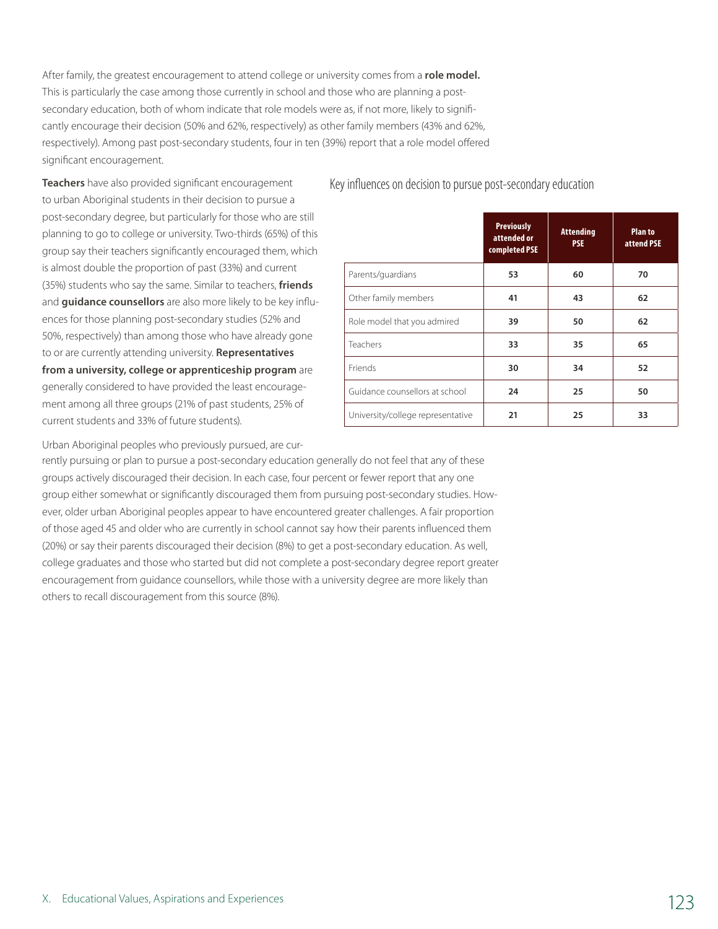After family, the greatest encouragement to attend college or university comes from a **role model.** This is particularly the case among those currently in school and those who are planning a postsecondary education, both of whom indicate that role models were as, if not more, likely to significantly encourage their decision (50% and 62%, respectively) as other family members (43% and 62%, respectively). Among past post-secondary students, four in ten (39%) report that a role model offered significant encouragement.

**Teachers** have also provided significant encouragement to urban Aboriginal students in their decision to pursue a post-secondary degree, but particularly for those who are still planning to go to college or university. Two-thirds (65%) of this group say their teachers significantly encouraged them, which is almost double the proportion of past (33%) and current (35%) students who say the same. Similar to teachers, **friends** and **guidance counsellors** are also more likely to be key influences for those planning post-secondary studies (52% and 50%, respectively) than among those who have already gone to or are currently attending university. **Representatives from a university, college or apprenticeship program** are generally considered to have provided the least encouragement among all three groups (21% of past students, 25% of current students and 33% of future students).

|                                   | <b>Previously</b><br>attended or<br>completed PSE | <b>Attending</b><br><b>PSE</b> | <b>Planto</b><br>attend PSE |
|-----------------------------------|---------------------------------------------------|--------------------------------|-----------------------------|
| Parents/guardians                 | 53                                                | 60                             | 70                          |
| Other family members              | 41<br>43                                          |                                | 62                          |
| Role model that you admired       | 39                                                | 50                             | 62                          |
| Teachers                          | 33                                                | 35                             | 65                          |
| Friends                           | 30                                                | 34                             | 52                          |
| Guidance counsellors at school    | 24                                                | 25                             | 50                          |
| University/college representative | 21                                                | 25                             | 33                          |

Key influences on decision to pursue post-secondary education

Urban Aboriginal peoples who previously pursued, are cur-

rently pursuing or plan to pursue a post-secondary education generally do not feel that any of these groups actively discouraged their decision. In each case, four percent or fewer report that any one group either somewhat or significantly discouraged them from pursuing post-secondary studies. However, older urban Aboriginal peoples appear to have encountered greater challenges. A fair proportion of those aged 45 and older who are currently in school cannot say how their parents influenced them (20%) or say their parents discouraged their decision (8%) to get a post-secondary education. As well, college graduates and those who started but did not complete a post-secondary degree report greater encouragement from guidance counsellors, while those with a university degree are more likely than others to recall discouragement from this source (8%).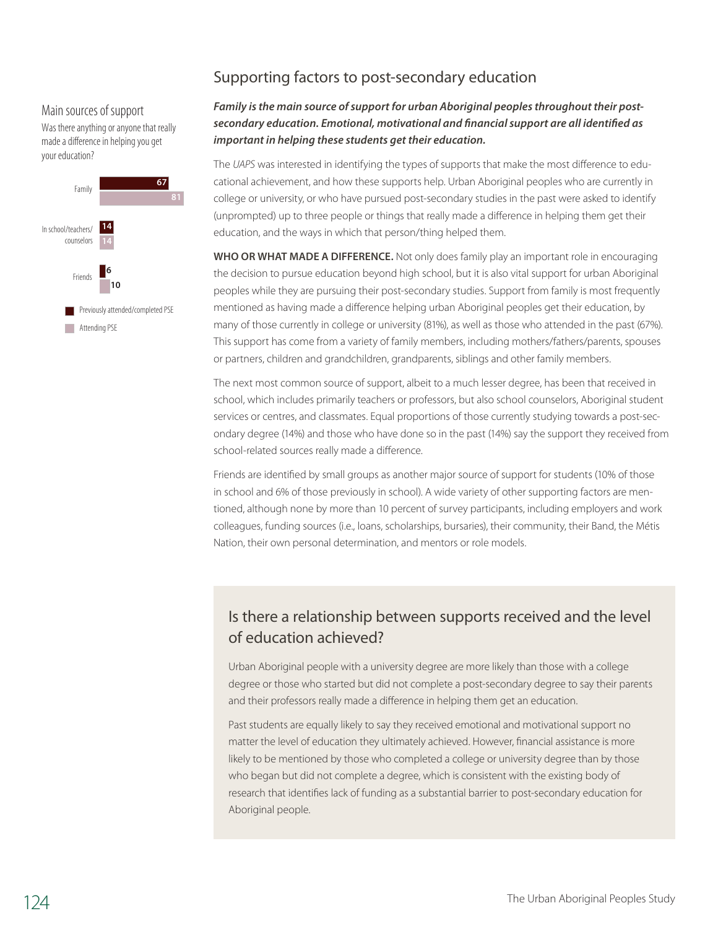### Main sources of support

Was there anything or anyone that really made a difference in helping you get your education?



# Supporting factors to post-secondary education

## Family is the main source of support for urban Aboriginal peoples throughout their post*secondary education. Emotional, motivational and financial support are all identified as important in helping these students get their education.*

The *UAPS* was interested in identifying the types of supports that make the most difference to educational achievement, and how these supports help. Urban Aboriginal peoples who are currently in college or university, or who have pursued post-secondary studies in the past were asked to identify (unprompted) up to three people or things that really made a difference in helping them get their education, and the ways in which that person/thing helped them.

**Who or what made a difference.** Not only does family play an important role in encouraging the decision to pursue education beyond high school, but it is also vital support for urban Aboriginal peoples while they are pursuing their post-secondary studies. Support from family is most frequently mentioned as having made a difference helping urban Aboriginal peoples get their education, by many of those currently in college or university (81%), as well as those who attended in the past (67%). This support has come from a variety of family members, including mothers/fathers/parents, spouses or partners, children and grandchildren, grandparents, siblings and other family members.

The next most common source of support, albeit to a much lesser degree, has been that received in school, which includes primarily teachers or professors, but also school counselors, Aboriginal student services or centres, and classmates. Equal proportions of those currently studying towards a post-secondary degree (14%) and those who have done so in the past (14%) say the support they received from school-related sources really made a difference.

Friends are identified by small groups as another major source of support for students (10% of those in school and 6% of those previously in school). A wide variety of other supporting factors are mentioned, although none by more than 10 percent of survey participants, including employers and work colleagues, funding sources (i.e., loans, scholarships, bursaries), their community, their Band, the Métis Nation, their own personal determination, and mentors or role models.

# Is there a relationship between supports received and the level of education achieved?

Urban Aboriginal people with a university degree are more likely than those with a college degree or those who started but did not complete a post-secondary degree to say their parents and their professors really made a difference in helping them get an education.

Past students are equally likely to say they received emotional and motivational support no matter the level of education they ultimately achieved. However, financial assistance is more likely to be mentioned by those who completed a college or university degree than by those who began but did not complete a degree, which is consistent with the existing body of research that identifies lack of funding as a substantial barrier to post-secondary education for Aboriginal people.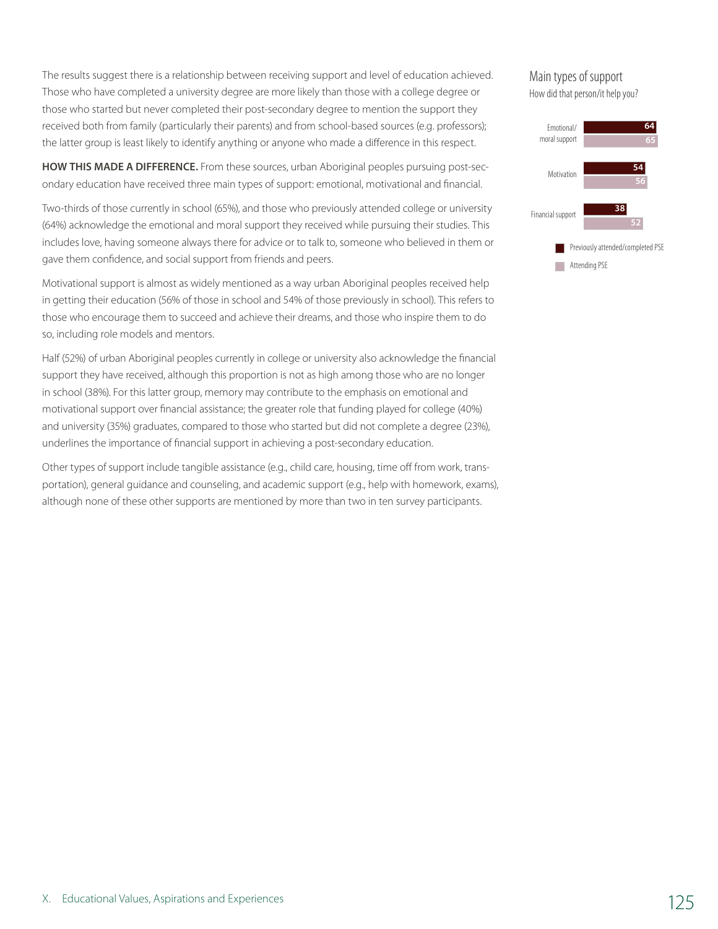The results suggest there is a relationship between receiving support and level of education achieved. Those who have completed a university degree are more likely than those with a college degree or those who started but never completed their post-secondary degree to mention the support they received both from family (particularly their parents) and from school-based sources (e.g. professors); the latter group is least likely to identify anything or anyone who made a difference in this respect.

**How this made a difference.** From these sources, urban Aboriginal peoples pursuing post-secondary education have received three main types of support: emotional, motivational and financial.

Two-thirds of those currently in school (65%), and those who previously attended college or university (64%) acknowledge the emotional and moral support they received while pursuing their studies. This includes love, having someone always there for advice or to talk to, someone who believed in them or gave them confidence, and social support from friends and peers.

Motivational support is almost as widely mentioned as a way urban Aboriginal peoples received help in getting their education (56% of those in school and 54% of those previously in school). This refers to those who encourage them to succeed and achieve their dreams, and those who inspire them to do so, including role models and mentors.

Half (52%) of urban Aboriginal peoples currently in college or university also acknowledge the financial support they have received, although this proportion is not as high among those who are no longer in school (38%). For this latter group, memory may contribute to the emphasis on emotional and motivational support over financial assistance; the greater role that funding played for college (40%) and university (35%) graduates, compared to those who started but did not complete a degree (23%), underlines the importance of financial support in achieving a post-secondary education.

Other types of support include tangible assistance (e.g., child care, housing, time off from work, transportation), general guidance and counseling, and academic support (e.g., help with homework, exams), although none of these other supports are mentioned by more than two in ten survey participants.

### Main types of support How did that person/it help you?

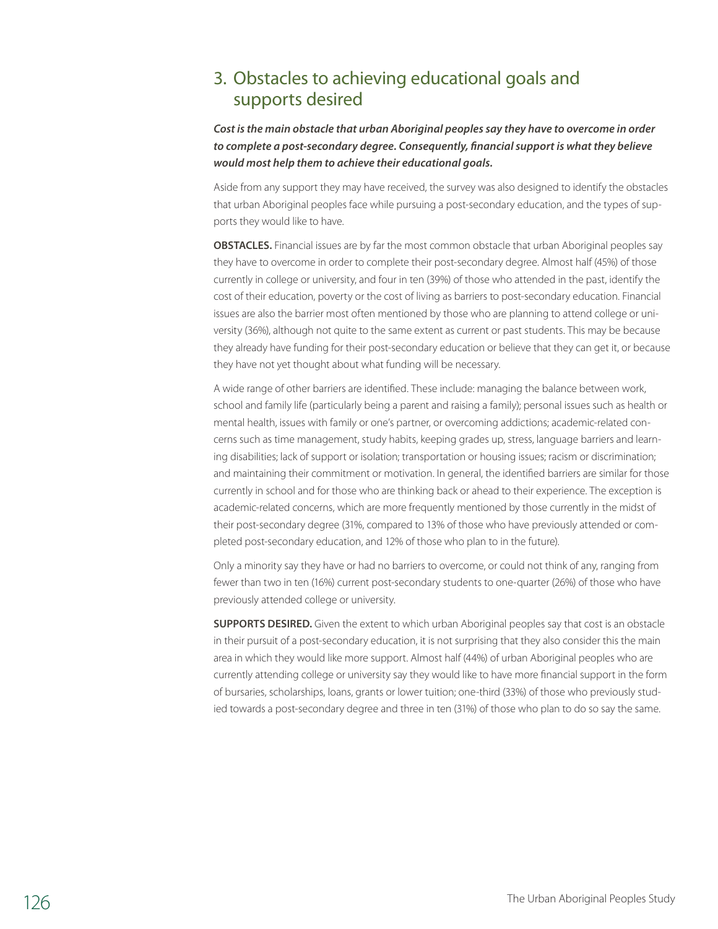# 3. Obstacles to achieving educational goals and supports desired

*Cost is the main obstacle that urban Aboriginal peoples say they have to overcome in order to complete a post-secondary degree. Consequently, financial support is what they believe would most help them to achieve their educational goals.*

Aside from any support they may have received, the survey was also designed to identify the obstacles that urban Aboriginal peoples face while pursuing a post-secondary education, and the types of supports they would like to have.

**Obstacles.** Financial issues are by far the most common obstacle that urban Aboriginal peoples say they have to overcome in order to complete their post-secondary degree. Almost half (45%) of those currently in college or university, and four in ten (39%) of those who attended in the past, identify the cost of their education, poverty or the cost of living as barriers to post-secondary education. Financial issues are also the barrier most often mentioned by those who are planning to attend college or university (36%), although not quite to the same extent as current or past students. This may be because they already have funding for their post-secondary education or believe that they can get it, or because they have not yet thought about what funding will be necessary.

A wide range of other barriers are identified. These include: managing the balance between work, school and family life (particularly being a parent and raising a family); personal issues such as health or mental health, issues with family or one's partner, or overcoming addictions; academic-related concerns such as time management, study habits, keeping grades up, stress, language barriers and learning disabilities; lack of support or isolation; transportation or housing issues; racism or discrimination; and maintaining their commitment or motivation. In general, the identified barriers are similar for those currently in school and for those who are thinking back or ahead to their experience. The exception is academic-related concerns, which are more frequently mentioned by those currently in the midst of their post-secondary degree (31%, compared to 13% of those who have previously attended or completed post-secondary education, and 12% of those who plan to in the future).

Only a minority say they have or had no barriers to overcome, or could not think of any, ranging from fewer than two in ten (16%) current post-secondary students to one-quarter (26%) of those who have previously attended college or university.

**SUPPORTS DESIRED.** Given the extent to which urban Aboriginal peoples say that cost is an obstacle in their pursuit of a post-secondary education, it is not surprising that they also consider this the main area in which they would like more support. Almost half (44%) of urban Aboriginal peoples who are currently attending college or university say they would like to have more financial support in the form of bursaries, scholarships, loans, grants or lower tuition; one-third (33%) of those who previously studied towards a post-secondary degree and three in ten (31%) of those who plan to do so say the same.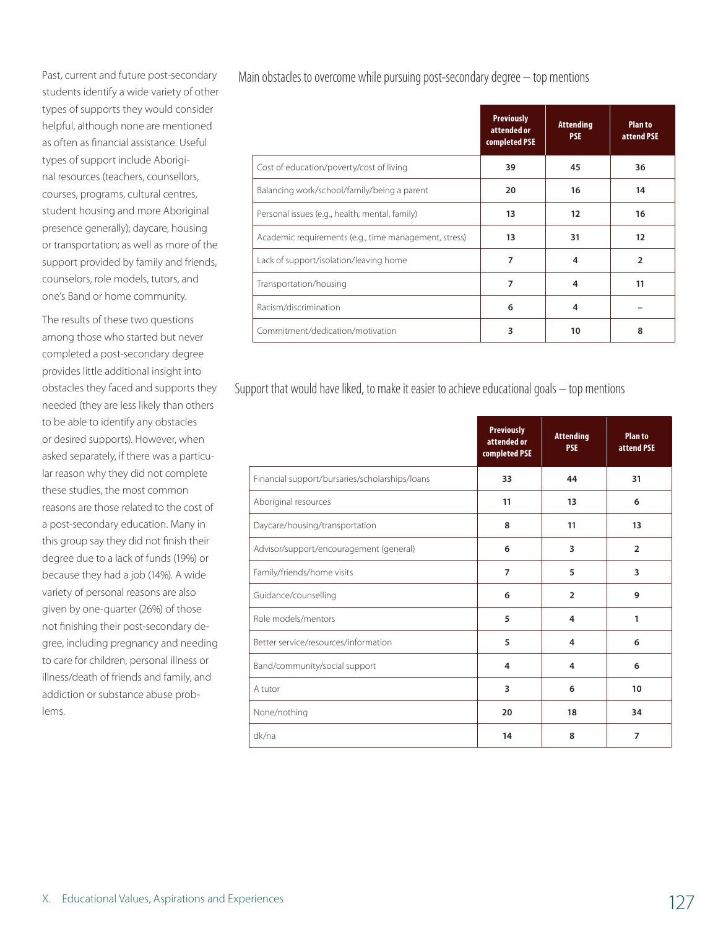Past, current and future post-secondary students identify a wide variety of other types of supports they would consider helpful, although none are mentioned as often as financial assistance. Useful types of support include Aboriginal resources (teachers, counsellors, courses, programs, cultural centres, student housing and more Aboriginal presence generally); daycare, housing or transportation; as well as more of the support provided by family and friends, counselors, role models, tutors, and one's Band or home community.

The results of these two questions among those who started but never completed a post-secondary degree provides little additional insight into obstacles they faced and supports they needed (they are less likely than others to be able to identify any obstacles or desired supports). However, when asked separately, if there was a particular reason why they did not complete these studies, the most common reasons are those related to the cost of a post-secondary education. Many in this group say they did not finish their degree due to a lack of funds (19%) or because they had a job (14%). A wide variety of personal reasons are also given by one-quarter (26%) of those not finishing their post-secondary degree, including pregnancy and needing to care for children, personal illness or illness/death of friends and family, and addiction or substance abuse problems.

Main obstacles to overcome while pursuing post-secondary degree – top mentions

|                                                       | <b>Previously</b><br>attended or<br>completed PSE | <b>Attending</b><br><b>PSE</b> | <b>Plan to</b><br>attend PSE |
|-------------------------------------------------------|---------------------------------------------------|--------------------------------|------------------------------|
| Cost of education/poverty/cost of living              | 39                                                | 45                             | 36                           |
| Balancing work/school/family/being a parent           | 20                                                | 16                             | 14                           |
| Personal issues (e.g., health, mental, family)        | 13                                                | 12                             | 16                           |
| Academic requirements (e.g., time management, stress) | 13                                                | 31                             | 12                           |
| Lack of support/isolation/leaving home                | 7                                                 | 4                              | $\overline{2}$               |
| Transportation/housing                                | 7                                                 | 4                              | 11                           |
| Racism/discrimination                                 | 6                                                 | 4                              |                              |
| Commitment/dedication/motivation                      | 3                                                 | 10                             | 8                            |

Support that would have liked, to make it easier to achieve educational goals – top mentions

|                                                | <b>Previously</b><br>attended or<br>completed PSE | <b>Attending</b><br><b>PSE</b> | <b>Plan to</b><br>attend PSE |
|------------------------------------------------|---------------------------------------------------|--------------------------------|------------------------------|
| Financial support/bursaries/scholarships/loans | 33                                                | 44                             | 31                           |
| Aboriginal resources                           | 11                                                | 13                             | 6                            |
| Daycare/housing/transportation                 | 8                                                 | 11                             | 13                           |
| Advisor/support/encouragement (general)        | 6                                                 | 3                              | $\overline{2}$               |
| Family/friends/home visits                     | 7                                                 | 5                              | 3                            |
| Guidance/counselling                           | 6                                                 | $\overline{2}$                 | 9                            |
| Role models/mentors                            | 5                                                 | 4                              | 1                            |
| Better service/resources/information           | 5                                                 | 4                              | 6                            |
| Band/community/social support                  | 4                                                 | 4                              | 6                            |
| A tutor                                        | 3                                                 | 6                              | 10                           |
| None/nothing                                   | 20                                                | 18                             | 34                           |
| dk/na                                          | 14                                                | 8                              | $\overline{7}$               |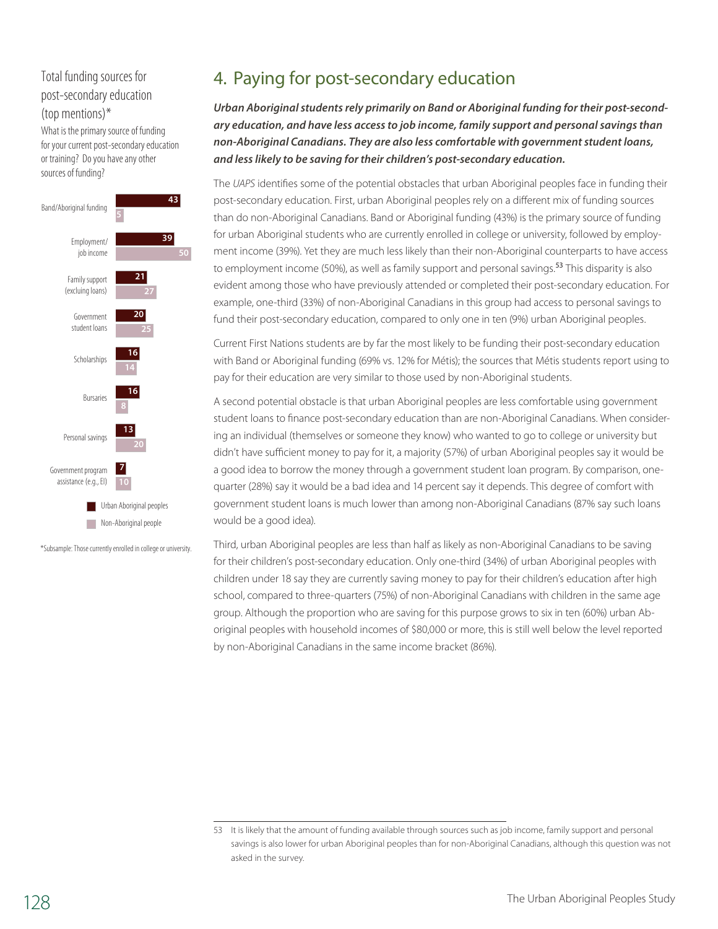# Total funding sources for post-secondary education (top mentions)\*

What is the primary source of funding for your current post-secondary education or training? Do you have any other sources of funding?



\*Subsample: Those currently enrolled in college or university.

# 4. Paying for post-secondary education

*Urban Aboriginal students rely primarily on Band or Aboriginal funding for their post-secondary education, and have less access to job income, family support and personal savings than non-Aboriginal Canadians. They are also less comfortable with government student loans, and less likely to be saving for their children's post-secondary education.*

The *UAPS* identifies some of the potential obstacles that urban Aboriginal peoples face in funding their post-secondary education. First, urban Aboriginal peoples rely on a different mix of funding sources than do non-Aboriginal Canadians. Band or Aboriginal funding (43%) is the primary source of funding for urban Aboriginal students who are currently enrolled in college or university, followed by employment income (39%). Yet they are much less likely than their non-Aboriginal counterparts to have access to employment income (50%), as well as family support and personal savings.<sup>53</sup> This disparity is also evident among those who have previously attended or completed their post-secondary education. For example, one-third (33%) of non-Aboriginal Canadians in this group had access to personal savings to fund their post-secondary education, compared to only one in ten (9%) urban Aboriginal peoples.

Current First Nations students are by far the most likely to be funding their post-secondary education with Band or Aboriginal funding (69% vs. 12% for Métis); the sources that Métis students report using to pay for their education are very similar to those used by non-Aboriginal students.

A second potential obstacle is that urban Aboriginal peoples are less comfortable using government student loans to finance post-secondary education than are non-Aboriginal Canadians. When considering an individual (themselves or someone they know) who wanted to go to college or university but didn't have sufficient money to pay for it, a majority (57%) of urban Aboriginal peoples say it would be a good idea to borrow the money through a government student loan program. By comparison, onequarter (28%) say it would be a bad idea and 14 percent say it depends. This degree of comfort with government student loans is much lower than among non-Aboriginal Canadians (87% say such loans would be a good idea).

Third, urban Aboriginal peoples are less than half as likely as non-Aboriginal Canadians to be saving for their children's post-secondary education. Only one-third (34%) of urban Aboriginal peoples with children under 18 say they are currently saving money to pay for their children's education after high school, compared to three-quarters (75%) of non-Aboriginal Canadians with children in the same age group. Although the proportion who are saving for this purpose grows to six in ten (60%) urban Aboriginal peoples with household incomes of \$80,000 or more, this is still well below the level reported by non-Aboriginal Canadians in the same income bracket (86%).

<sup>53</sup> It is likely that the amount of funding available through sources such as job income, family support and personal savings is also lower for urban Aboriginal peoples than for non-Aboriginal Canadians, although this question was not asked in the survey.